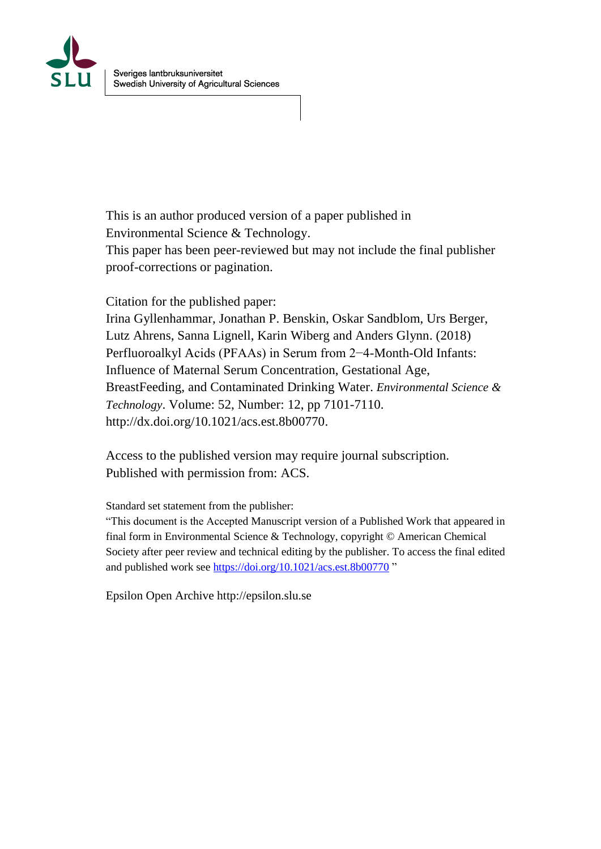

This is an author produced version of a paper published in Environmental Science & Technology. This paper has been peer-reviewed but may not include the final publisher

proof-corrections or pagination.

Citation for the published paper:

Irina Gyllenhammar, Jonathan P. Benskin, Oskar Sandblom, Urs Berger, Lutz Ahrens, Sanna Lignell, Karin Wiberg and Anders Glynn. (2018) Perfluoroalkyl Acids (PFAAs) in Serum from 2−4-Month-Old Infants: Influence of Maternal Serum Concentration, Gestational Age, BreastFeeding, and Contaminated Drinking Water. *Environmental Science & Technology*. Volume: 52, Number: 12, pp 7101-7110. http://dx.doi.org/10.1021/acs.est.8b00770.

Access to the published version may require journal subscription. Published with permission from: ACS.

Standard set statement from the publisher:

"This document is the Accepted Manuscript version of a Published Work that appeared in final form in Environmental Science & Technology, copyright © American Chemical Society after peer review and technical editing by the publisher. To access the final edited and published work see <https://doi.org/10.1021/acs.est.8b00770> "

Epsilon Open Archive http://epsilon.slu.se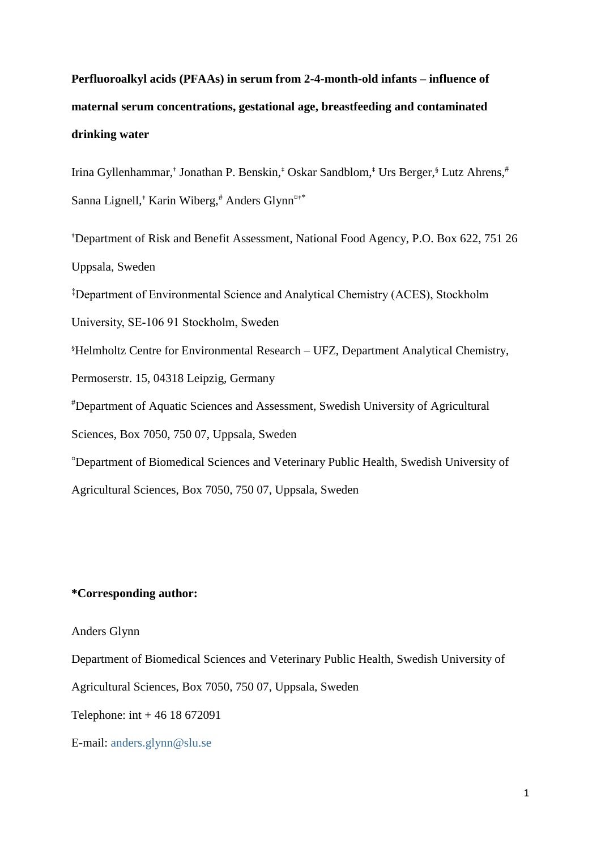# **Perfluoroalkyl acids (PFAAs) in serum from 2-4-month-old infants – influence of maternal serum concentrations, gestational age, breastfeeding and contaminated drinking water**

Irina Gyllenhammar,<sup>†</sup> Jonathan P. Benskin,<sup>‡</sup> Oskar Sandblom,<sup>‡</sup> Urs Berger,<sup>§</sup> Lutz Ahrens,<sup>#</sup> Sanna Lignell,† Karin Wiberg,# Anders Glynn¤†\*

†Department of Risk and Benefit Assessment, National Food Agency, P.O. Box 622, 751 26 Uppsala, Sweden

‡Department of Environmental Science and Analytical Chemistry (ACES), Stockholm

University, SE-106 91 Stockholm, Sweden

§Helmholtz Centre for Environmental Research – UFZ, Department Analytical Chemistry,

Permoserstr. 15, 04318 Leipzig, Germany

#Department of Aquatic Sciences and Assessment, Swedish University of Agricultural

Sciences, Box 7050, 750 07, Uppsala, Sweden

¤Department of Biomedical Sciences and Veterinary Public Health, Swedish University of

Agricultural Sciences, Box 7050, 750 07, Uppsala, Sweden

## **\*Corresponding author:**

#### Anders Glynn

Department of Biomedical Sciences and Veterinary Public Health, Swedish University of

Agricultural Sciences, Box 7050, 750 07, Uppsala, Sweden

Telephone: int + 46 18 672091

E-mail: [anders.glynn@slu.se](mailto:anders.glynn@slu.se)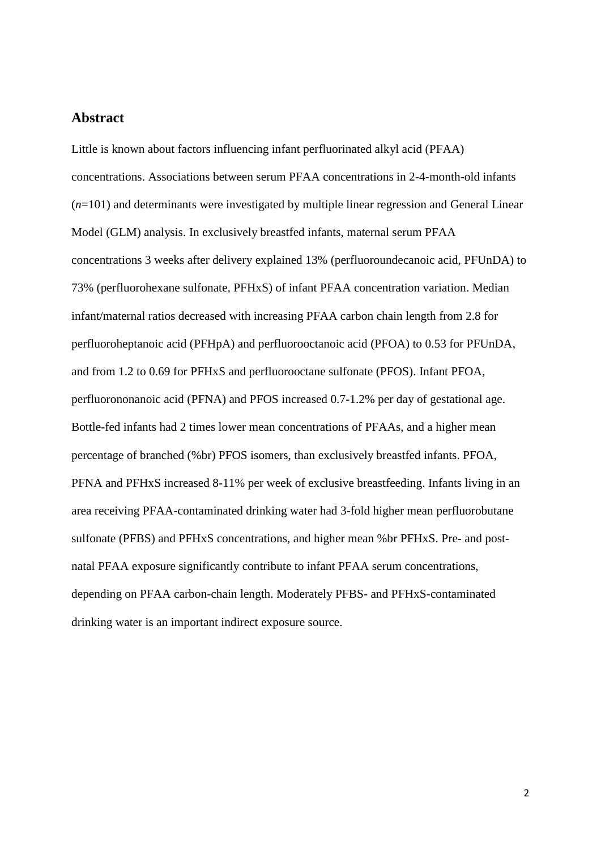# **Abstract**

Little is known about factors influencing infant perfluorinated alkyl acid (PFAA) concentrations. Associations between serum PFAA concentrations in 2-4-month-old infants (*n*=101) and determinants were investigated by multiple linear regression and General Linear Model (GLM) analysis. In exclusively breastfed infants, maternal serum PFAA concentrations 3 weeks after delivery explained 13% (perfluoroundecanoic acid, PFUnDA) to 73% (perfluorohexane sulfonate, PFHxS) of infant PFAA concentration variation. Median infant/maternal ratios decreased with increasing PFAA carbon chain length from 2.8 for perfluoroheptanoic acid (PFHpA) and perfluorooctanoic acid (PFOA) to 0.53 for PFUnDA, and from 1.2 to 0.69 for PFHxS and perfluorooctane sulfonate (PFOS). Infant PFOA, perfluorononanoic acid (PFNA) and PFOS increased 0.7-1.2% per day of gestational age. Bottle-fed infants had 2 times lower mean concentrations of PFAAs, and a higher mean percentage of branched (%br) PFOS isomers, than exclusively breastfed infants. PFOA, PFNA and PFHxS increased 8-11% per week of exclusive breastfeeding. Infants living in an area receiving PFAA-contaminated drinking water had 3-fold higher mean perfluorobutane sulfonate (PFBS) and PFHxS concentrations, and higher mean %br PFHxS. Pre- and postnatal PFAA exposure significantly contribute to infant PFAA serum concentrations, depending on PFAA carbon-chain length. Moderately PFBS- and PFHxS-contaminated drinking water is an important indirect exposure source.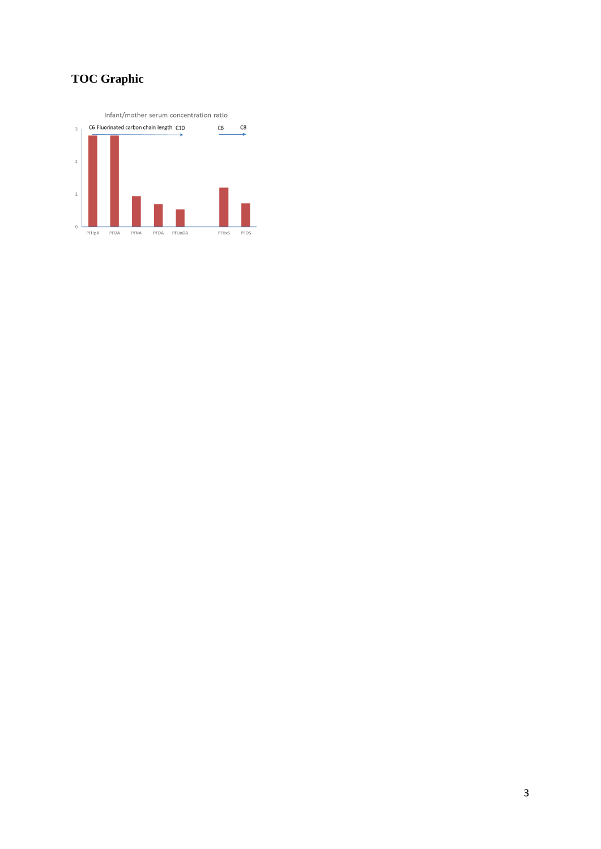# **TOC Graphic**

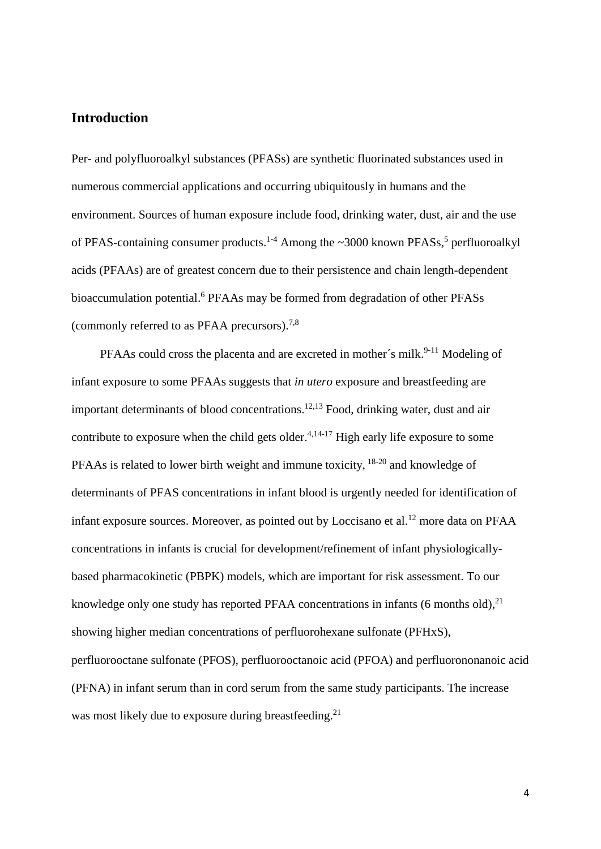# **Introduction**

Per- and polyfluoroalkyl substances (PFASs) are synthetic fluorinated substances used in numerous commercial applications and occurring ubiquitously in humans and the environment. Sources of human exposure include food, drinking water, dust, air and the use of PFAS-containing consumer products.<sup>1-4</sup> Among the ~3000 known PFASs,<sup>5</sup> perfluoroalkyl acids (PFAAs) are of greatest concern due to their persistence and chain length-dependent bioaccumulation potential. <sup>6</sup> PFAAs may be formed from degradation of other PFASs (commonly referred to as PFAA precursors). 7,8

PFAAs could cross the placenta and are excreted in mother's milk.<sup>9-11</sup> Modeling of infant exposure to some PFAAs suggests that *in utero* exposure and breastfeeding are important determinants of blood concentrations. 12,13 Food, drinking water, dust and air contribute to exposure when the child gets older. $4,14-17$  High early life exposure to some PFAAs is related to lower birth weight and immune toxicity, <sup>18-20</sup> and knowledge of determinants of PFAS concentrations in infant blood is urgently needed for identification of infant exposure sources. Moreover, as pointed out by Loccisano et al.<sup>12</sup> more data on PFAA concentrations in infants is crucial for development/refinement of infant physiologicallybased pharmacokinetic (PBPK) models, which are important for risk assessment. To our knowledge only one study has reported PFAA concentrations in infants (6 months old),<sup>21</sup> showing higher median concentrations of perfluorohexane sulfonate (PFHxS), perfluorooctane sulfonate (PFOS), perfluorooctanoic acid (PFOA) and perfluorononanoic acid (PFNA) in infant serum than in cord serum from the same study participants. The increase was most likely due to exposure during breastfeeding.<sup>21</sup>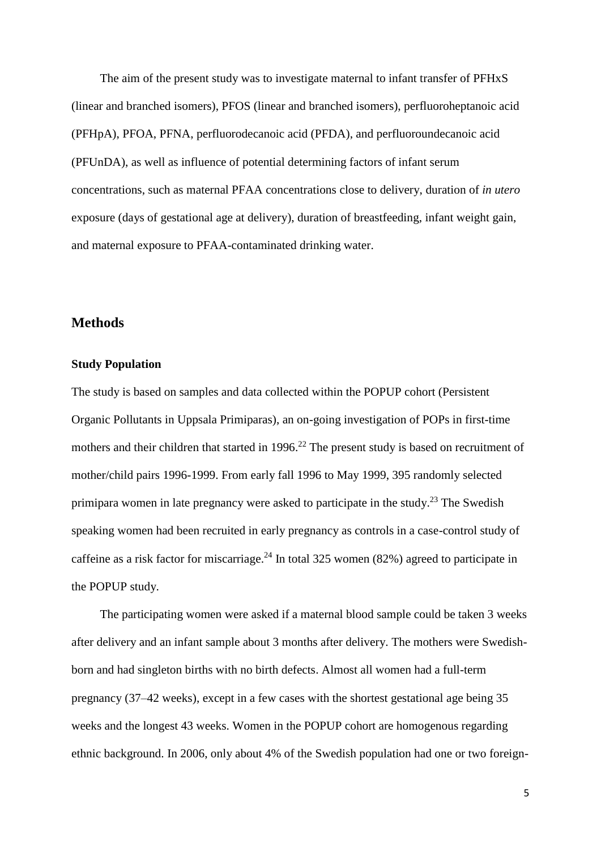The aim of the present study was to investigate maternal to infant transfer of PFHxS (linear and branched isomers), PFOS (linear and branched isomers), perfluoroheptanoic acid (PFHpA), PFOA, PFNA, perfluorodecanoic acid (PFDA), and perfluoroundecanoic acid (PFUnDA), as well as influence of potential determining factors of infant serum concentrations, such as maternal PFAA concentrations close to delivery, duration of *in utero* exposure (days of gestational age at delivery), duration of breastfeeding, infant weight gain, and maternal exposure to PFAA-contaminated drinking water.

#### **Methods**

#### **Study Population**

The study is based on samples and data collected within the POPUP cohort (Persistent Organic Pollutants in Uppsala Primiparas), an on-going investigation of POPs in first-time mothers and their children that started in 1996.<sup>22</sup> The present study is based on recruitment of mother/child pairs 1996-1999. From early fall 1996 to May 1999, 395 randomly selected primipara women in late pregnancy were asked to participate in the study.<sup>23</sup> The Swedish speaking women had been recruited in early pregnancy as controls in a case-control study of caffeine as a risk factor for miscarriage.<sup>24</sup> In total 325 women (82%) agreed to participate in the POPUP study.

The participating women were asked if a maternal blood sample could be taken 3 weeks after delivery and an infant sample about 3 months after delivery. The mothers were Swedishborn and had singleton births with no birth defects. Almost all women had a full-term pregnancy (37–42 weeks), except in a few cases with the shortest gestational age being 35 weeks and the longest 43 weeks. Women in the POPUP cohort are homogenous regarding ethnic background. In 2006, only about 4% of the Swedish population had one or two foreign-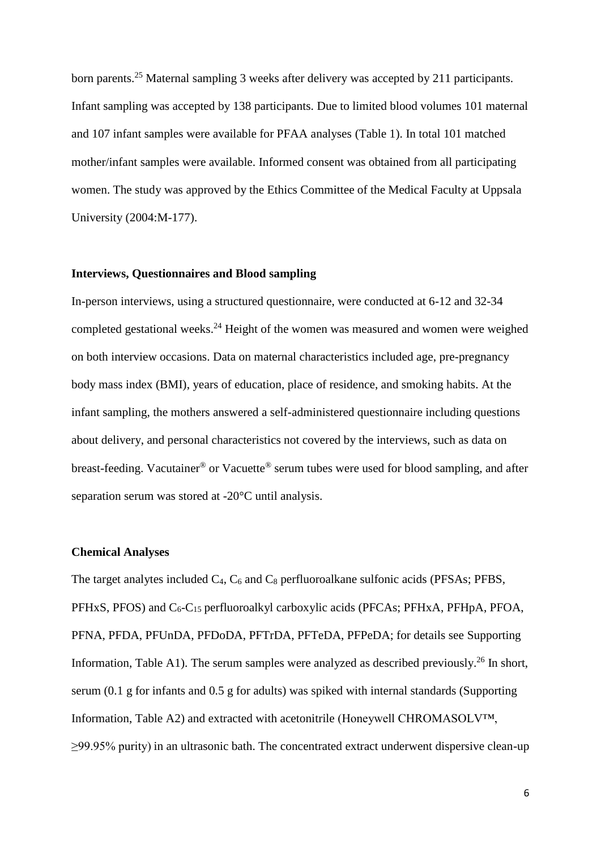born parents.<sup>25</sup> Maternal sampling 3 weeks after delivery was accepted by 211 participants. Infant sampling was accepted by 138 participants. Due to limited blood volumes 101 maternal and 107 infant samples were available for PFAA analyses (Table 1). In total 101 matched mother/infant samples were available. Informed consent was obtained from all participating women. The study was approved by the Ethics Committee of the Medical Faculty at Uppsala University (2004:M-177).

#### **Interviews, Questionnaires and Blood sampling**

In-person interviews, using a structured questionnaire, were conducted at 6-12 and 32-34 completed gestational weeks.<sup>24</sup> Height of the women was measured and women were weighed on both interview occasions. Data on maternal characteristics included age, pre-pregnancy body mass index (BMI), years of education, place of residence, and smoking habits. At the infant sampling, the mothers answered a self-administered questionnaire including questions about delivery, and personal characteristics not covered by the interviews, such as data on breast-feeding. Vacutainer® or Vacuette® serum tubes were used for blood sampling, and after separation serum was stored at -20°C until analysis.

#### **Chemical Analyses**

The target analytes included  $C_4$ ,  $C_6$  and  $C_8$  perfluoroalkane sulfonic acids (PFSAs; PFBS, PFHxS, PFOS) and  $C_6$ - $C_{15}$  perfluoroalkyl carboxylic acids (PFCAs; PFHxA, PFHpA, PFOA, PFNA, PFDA, PFUnDA, PFDoDA, PFTrDA, PFTeDA, PFPeDA; for details see Supporting Information, Table A1). The serum samples were analyzed as described previously.<sup>26</sup> In short, serum (0.1 g for infants and 0.5 g for adults) was spiked with internal standards (Supporting Information, Table A2) and extracted with acetonitrile (Honeywell CHROMASOLV™, ≥99.95% purity) in an ultrasonic bath. The concentrated extract underwent dispersive clean-up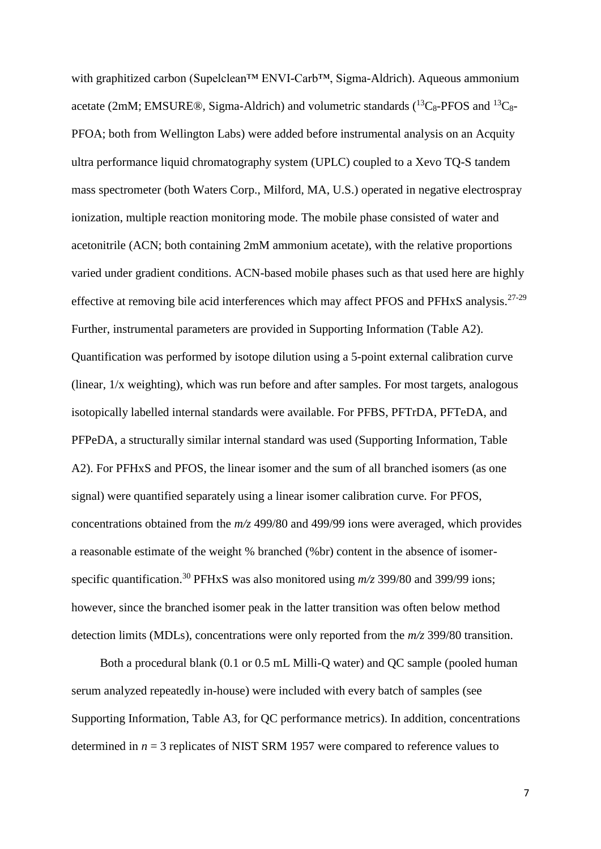with graphitized carbon (Supelclean™ ENVI-Carb™, Sigma-Aldrich). Aqueous ammonium acetate (2mM; EMSURE®, Sigma-Aldrich) and volumetric standards  $(^{13}C_8$ -PFOS and  $^{13}C_8$ -PFOA; both from Wellington Labs) were added before instrumental analysis on an Acquity ultra performance liquid chromatography system (UPLC) coupled to a Xevo TQ-S tandem mass spectrometer (both Waters Corp., Milford, MA, U.S.) operated in negative electrospray ionization, multiple reaction monitoring mode. The mobile phase consisted of water and acetonitrile (ACN; both containing 2mM ammonium acetate), with the relative proportions varied under gradient conditions. ACN-based mobile phases such as that used here are highly effective at removing bile acid interferences which may affect PFOS and PFHxS analysis.27-29 Further, instrumental parameters are provided in Supporting Information (Table A2). Quantification was performed by isotope dilution using a 5-point external calibration curve (linear, 1/x weighting), which was run before and after samples. For most targets, analogous isotopically labelled internal standards were available. For PFBS, PFTrDA, PFTeDA, and PFPeDA, a structurally similar internal standard was used (Supporting Information, Table A2). For PFHxS and PFOS, the linear isomer and the sum of all branched isomers (as one signal) were quantified separately using a linear isomer calibration curve. For PFOS, concentrations obtained from the *m/z* 499/80 and 499/99 ions were averaged, which provides a reasonable estimate of the weight % branched (%br) content in the absence of isomerspecific quantification.<sup>30</sup> PFHxS was also monitored using  $m/z$  399/80 and 399/99 ions; however, since the branched isomer peak in the latter transition was often below method detection limits (MDLs), concentrations were only reported from the *m/z* 399/80 transition.

Both a procedural blank (0.1 or 0.5 mL Milli-Q water) and QC sample (pooled human serum analyzed repeatedly in-house) were included with every batch of samples (see Supporting Information, Table A3, for QC performance metrics). In addition, concentrations determined in *n* = 3 replicates of NIST SRM 1957 were compared to reference values to

7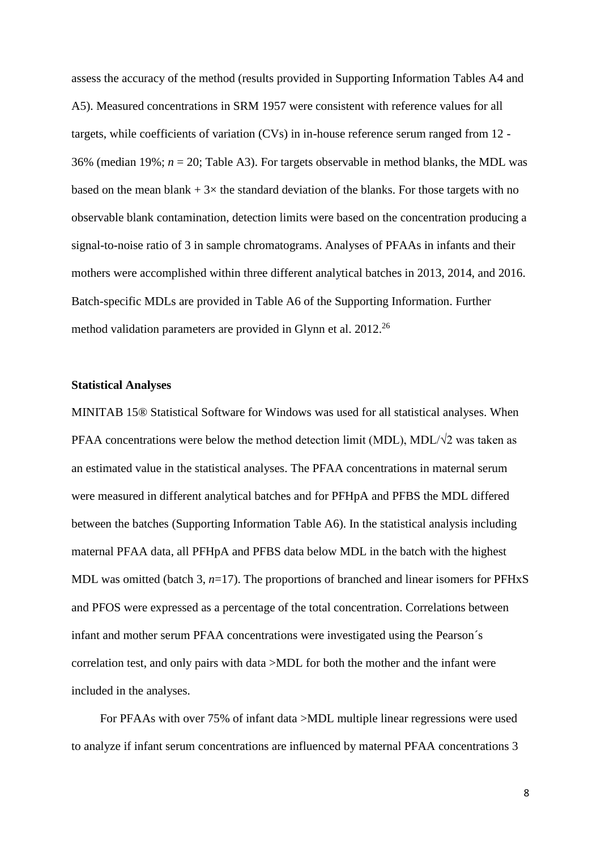assess the accuracy of the method (results provided in Supporting Information Tables A4 and A5). Measured concentrations in SRM 1957 were consistent with reference values for all targets, while coefficients of variation (CVs) in in-house reference serum ranged from 12 - 36% (median 19%; *n* = 20; Table A3). For targets observable in method blanks, the MDL was based on the mean blank  $+3\times$  the standard deviation of the blanks. For those targets with no observable blank contamination, detection limits were based on the concentration producing a signal-to-noise ratio of 3 in sample chromatograms. Analyses of PFAAs in infants and their mothers were accomplished within three different analytical batches in 2013, 2014, and 2016. Batch-specific MDLs are provided in Table A6 of the Supporting Information. Further method validation parameters are provided in Glynn et al. 2012.<sup>26</sup>

#### **Statistical Analyses**

MINITAB 15® Statistical Software for Windows was used for all statistical analyses. When PFAA concentrations were below the method detection limit (MDL), MDL/ $\sqrt{2}$  was taken as an estimated value in the statistical analyses. The PFAA concentrations in maternal serum were measured in different analytical batches and for PFHpA and PFBS the MDL differed between the batches (Supporting Information Table A6). In the statistical analysis including maternal PFAA data, all PFHpA and PFBS data below MDL in the batch with the highest MDL was omitted (batch 3, *n*=17). The proportions of branched and linear isomers for PFHxS and PFOS were expressed as a percentage of the total concentration. Correlations between infant and mother serum PFAA concentrations were investigated using the Pearson´s correlation test, and only pairs with data >MDL for both the mother and the infant were included in the analyses.

For PFAAs with over 75% of infant data >MDL multiple linear regressions were used to analyze if infant serum concentrations are influenced by maternal PFAA concentrations 3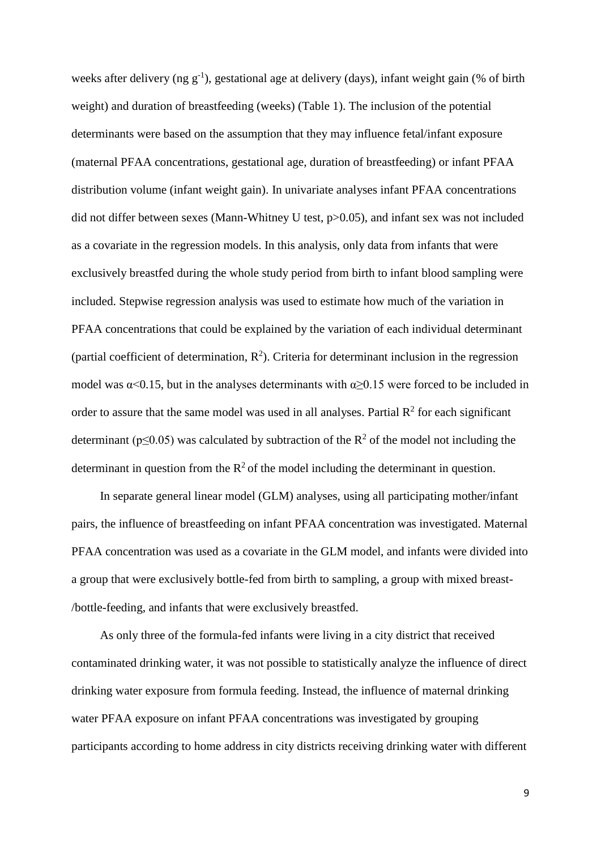weeks after delivery (ng  $g^{-1}$ ), gestational age at delivery (days), infant weight gain (% of birth weight) and duration of breastfeeding (weeks) (Table 1). The inclusion of the potential determinants were based on the assumption that they may influence fetal/infant exposure (maternal PFAA concentrations, gestational age, duration of breastfeeding) or infant PFAA distribution volume (infant weight gain). In univariate analyses infant PFAA concentrations did not differ between sexes (Mann-Whitney U test, p>0.05), and infant sex was not included as a covariate in the regression models. In this analysis, only data from infants that were exclusively breastfed during the whole study period from birth to infant blood sampling were included. Stepwise regression analysis was used to estimate how much of the variation in PFAA concentrations that could be explained by the variation of each individual determinant (partial coefficient of determination,  $R^2$ ). Criteria for determinant inclusion in the regression model was  $\alpha$ <0.15, but in the analyses determinants with  $\alpha$ ≥0.15 were forced to be included in order to assure that the same model was used in all analyses. Partial  $R<sup>2</sup>$  for each significant determinant ( $p \le 0.05$ ) was calculated by subtraction of the  $R^2$  of the model not including the determinant in question from the  $R^2$  of the model including the determinant in question.

In separate general linear model (GLM) analyses, using all participating mother/infant pairs, the influence of breastfeeding on infant PFAA concentration was investigated. Maternal PFAA concentration was used as a covariate in the GLM model, and infants were divided into a group that were exclusively bottle-fed from birth to sampling, a group with mixed breast- /bottle-feeding, and infants that were exclusively breastfed.

As only three of the formula-fed infants were living in a city district that received contaminated drinking water, it was not possible to statistically analyze the influence of direct drinking water exposure from formula feeding. Instead, the influence of maternal drinking water PFAA exposure on infant PFAA concentrations was investigated by grouping participants according to home address in city districts receiving drinking water with different

9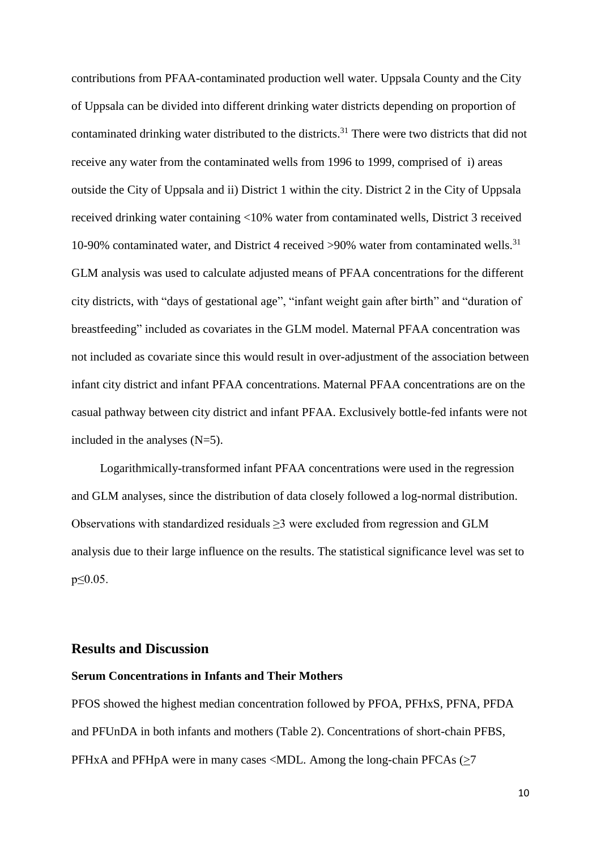contributions from PFAA-contaminated production well water. Uppsala County and the City of Uppsala can be divided into different drinking water districts depending on proportion of contaminated drinking water distributed to the districts.<sup>31</sup> There were two districts that did not receive any water from the contaminated wells from 1996 to 1999, comprised of i) areas outside the City of Uppsala and ii) District 1 within the city. District 2 in the City of Uppsala received drinking water containing <10% water from contaminated wells, District 3 received 10-90% contaminated water, and District 4 received >90% water from contaminated wells. 31 GLM analysis was used to calculate adjusted means of PFAA concentrations for the different city districts, with "days of gestational age", "infant weight gain after birth" and "duration of breastfeeding" included as covariates in the GLM model. Maternal PFAA concentration was not included as covariate since this would result in over-adjustment of the association between infant city district and infant PFAA concentrations. Maternal PFAA concentrations are on the casual pathway between city district and infant PFAA. Exclusively bottle-fed infants were not included in the analyses (N=5).

Logarithmically-transformed infant PFAA concentrations were used in the regression and GLM analyses, since the distribution of data closely followed a log-normal distribution. Observations with standardized residuals  $\geq$ 3 were excluded from regression and GLM analysis due to their large influence on the results. The statistical significance level was set to p≤0.05.

### **Results and Discussion**

#### **Serum Concentrations in Infants and Their Mothers**

PFOS showed the highest median concentration followed by PFOA, PFHxS, PFNA, PFDA and PFUnDA in both infants and mothers (Table 2). Concentrations of short-chain PFBS, PFHxA and PFHpA were in many cases <MDL. Among the long-chain PFCAs (>7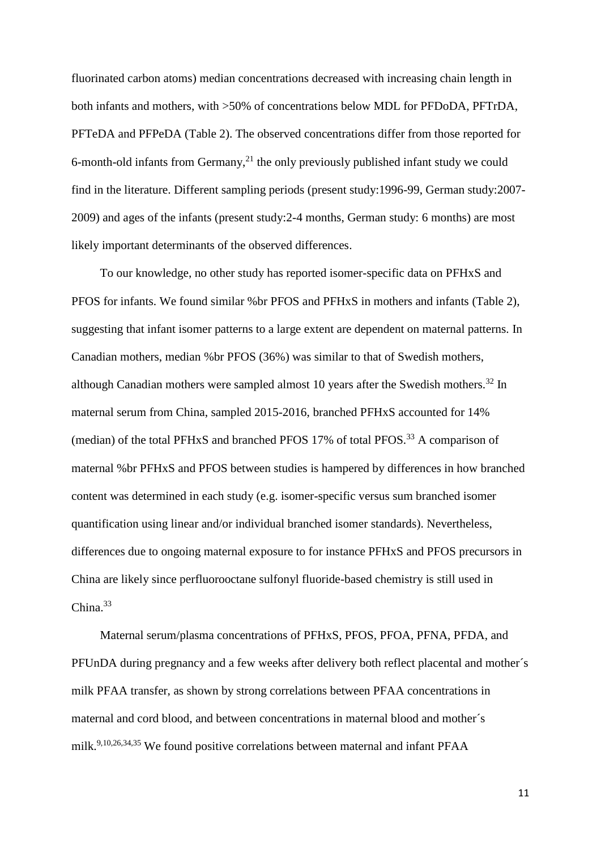fluorinated carbon atoms) median concentrations decreased with increasing chain length in both infants and mothers, with >50% of concentrations below MDL for PFDoDA, PFTrDA, PFTeDA and PFPeDA (Table 2). The observed concentrations differ from those reported for 6-month-old infants from Germany,<sup>21</sup> the only previously published infant study we could find in the literature. Different sampling periods (present study:1996-99, German study:2007- 2009) and ages of the infants (present study:2-4 months, German study: 6 months) are most likely important determinants of the observed differences.

To our knowledge, no other study has reported isomer-specific data on PFHxS and PFOS for infants. We found similar %br PFOS and PFHxS in mothers and infants (Table 2), suggesting that infant isomer patterns to a large extent are dependent on maternal patterns. In Canadian mothers, median %br PFOS (36%) was similar to that of Swedish mothers, although Canadian mothers were sampled almost 10 years after the Swedish mothers.<sup>32</sup> In maternal serum from China, sampled 2015-2016, branched PFHxS accounted for 14% (median) of the total PFHxS and branched PFOS  $17\%$  of total PFOS.<sup>33</sup> A comparison of maternal %br PFHxS and PFOS between studies is hampered by differences in how branched content was determined in each study (e.g. isomer-specific versus sum branched isomer quantification using linear and/or individual branched isomer standards). Nevertheless, differences due to ongoing maternal exposure to for instance PFHxS and PFOS precursors in China are likely since perfluorooctane sulfonyl fluoride-based chemistry is still used in China. 33

Maternal serum/plasma concentrations of PFHxS, PFOS, PFOA, PFNA, PFDA, and PFUnDA during pregnancy and a few weeks after delivery both reflect placental and mother´s milk PFAA transfer, as shown by strong correlations between PFAA concentrations in maternal and cord blood, and between concentrations in maternal blood and mother´s milk.9,10,26,34,35 We found positive correlations between maternal and infant PFAA

11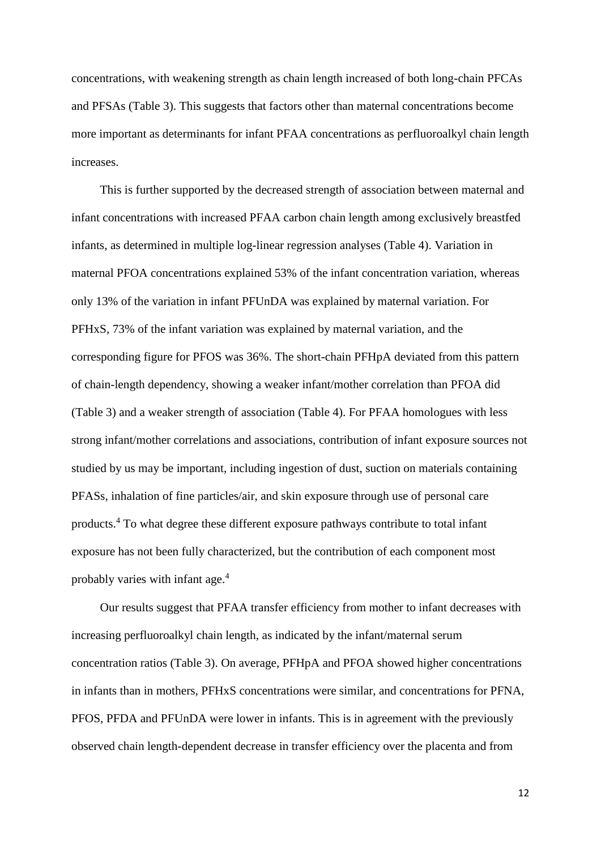concentrations, with weakening strength as chain length increased of both long-chain PFCAs and PFSAs (Table 3). This suggests that factors other than maternal concentrations become more important as determinants for infant PFAA concentrations as perfluoroalkyl chain length increases.

This is further supported by the decreased strength of association between maternal and infant concentrations with increased PFAA carbon chain length among exclusively breastfed infants, as determined in multiple log-linear regression analyses (Table 4). Variation in maternal PFOA concentrations explained 53% of the infant concentration variation, whereas only 13% of the variation in infant PFUnDA was explained by maternal variation. For PFHxS, 73% of the infant variation was explained by maternal variation, and the corresponding figure for PFOS was 36%. The short-chain PFHpA deviated from this pattern of chain-length dependency, showing a weaker infant/mother correlation than PFOA did (Table 3) and a weaker strength of association (Table 4). For PFAA homologues with less strong infant/mother correlations and associations, contribution of infant exposure sources not studied by us may be important, including ingestion of dust, suction on materials containing PFASs, inhalation of fine particles/air, and skin exposure through use of personal care products. <sup>4</sup> To what degree these different exposure pathways contribute to total infant exposure has not been fully characterized, but the contribution of each component most probably varies with infant age. 4

Our results suggest that PFAA transfer efficiency from mother to infant decreases with increasing perfluoroalkyl chain length, as indicated by the infant/maternal serum concentration ratios (Table 3). On average, PFHpA and PFOA showed higher concentrations in infants than in mothers, PFHxS concentrations were similar, and concentrations for PFNA, PFOS, PFDA and PFUnDA were lower in infants. This is in agreement with the previously observed chain length-dependent decrease in transfer efficiency over the placenta and from

12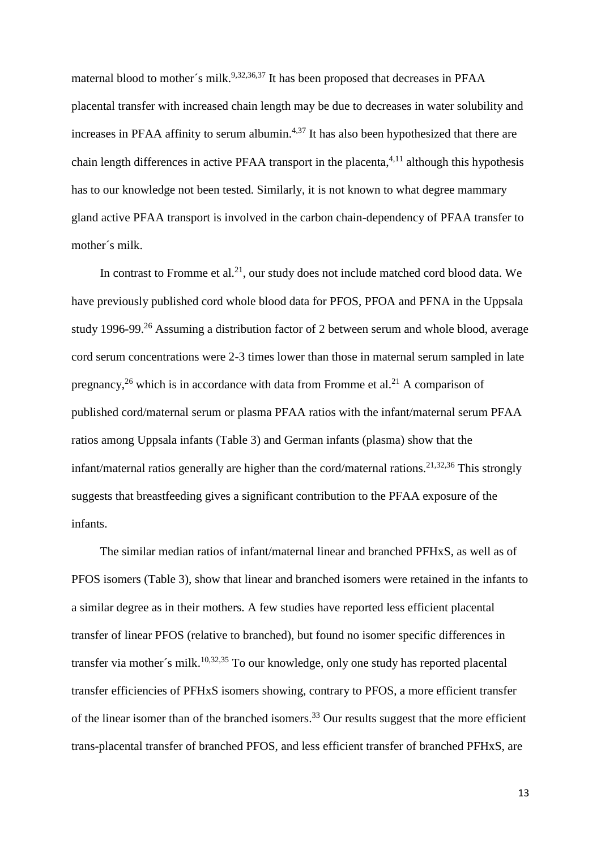maternal blood to mother's milk.<sup>9,32,36,37</sup> It has been proposed that decreases in PFAA placental transfer with increased chain length may be due to decreases in water solubility and increases in PFAA affinity to serum albumin. $4,37$  It has also been hypothesized that there are chain length differences in active PFAA transport in the placenta,<sup>4,11</sup> although this hypothesis has to our knowledge not been tested. Similarly, it is not known to what degree mammary gland active PFAA transport is involved in the carbon chain-dependency of PFAA transfer to mother´s milk.

In contrast to Fromme et al.<sup>21</sup>, our study does not include matched cord blood data. We have previously published cord whole blood data for PFOS, PFOA and PFNA in the Uppsala study 1996-99.<sup>26</sup> Assuming a distribution factor of 2 between serum and whole blood, average cord serum concentrations were 2-3 times lower than those in maternal serum sampled in late pregnancy,<sup>26</sup> which is in accordance with data from Fromme et al.<sup>21</sup> A comparison of published cord/maternal serum or plasma PFAA ratios with the infant/maternal serum PFAA ratios among Uppsala infants (Table 3) and German infants (plasma) show that the infant/maternal ratios generally are higher than the cord/maternal rations.<sup>21,32,36</sup> This strongly suggests that breastfeeding gives a significant contribution to the PFAA exposure of the infants.

The similar median ratios of infant/maternal linear and branched PFHxS, as well as of PFOS isomers (Table 3), show that linear and branched isomers were retained in the infants to a similar degree as in their mothers. A few studies have reported less efficient placental transfer of linear PFOS (relative to branched), but found no isomer specific differences in transfer via mother's milk.<sup>10,32,35</sup> To our knowledge, only one study has reported placental transfer efficiencies of PFHxS isomers showing, contrary to PFOS, a more efficient transfer of the linear isomer than of the branched isomers.<sup>33</sup> Our results suggest that the more efficient trans-placental transfer of branched PFOS, and less efficient transfer of branched PFHxS, are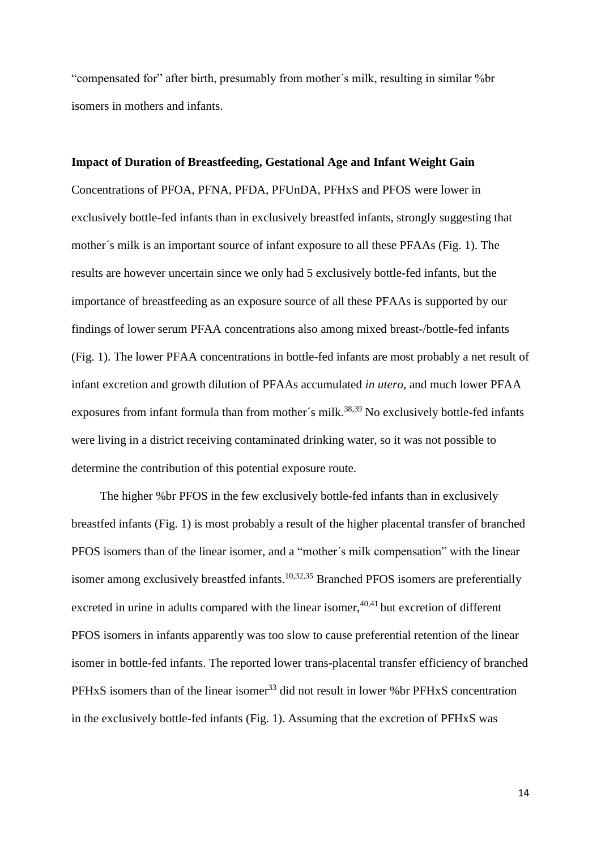"compensated for" after birth, presumably from mother´s milk, resulting in similar %br isomers in mothers and infants.

#### **Impact of Duration of Breastfeeding, Gestational Age and Infant Weight Gain**

Concentrations of PFOA, PFNA, PFDA, PFUnDA, PFHxS and PFOS were lower in exclusively bottle-fed infants than in exclusively breastfed infants, strongly suggesting that mother´s milk is an important source of infant exposure to all these PFAAs (Fig. 1). The results are however uncertain since we only had 5 exclusively bottle-fed infants, but the importance of breastfeeding as an exposure source of all these PFAAs is supported by our findings of lower serum PFAA concentrations also among mixed breast-/bottle-fed infants (Fig. 1). The lower PFAA concentrations in bottle-fed infants are most probably a net result of infant excretion and growth dilution of PFAAs accumulated *in utero*, and much lower PFAA exposures from infant formula than from mother's milk.<sup>38,39</sup> No exclusively bottle-fed infants were living in a district receiving contaminated drinking water, so it was not possible to determine the contribution of this potential exposure route.

The higher %br PFOS in the few exclusively bottle-fed infants than in exclusively breastfed infants (Fig. 1) is most probably a result of the higher placental transfer of branched PFOS isomers than of the linear isomer, and a "mother´s milk compensation" with the linear isomer among exclusively breastfed infants.<sup>10,32,35</sup> Branched PFOS isomers are preferentially excreted in urine in adults compared with the linear isomer,  $40,41$  but excretion of different PFOS isomers in infants apparently was too slow to cause preferential retention of the linear isomer in bottle-fed infants. The reported lower trans-placental transfer efficiency of branched PFHxS isomers than of the linear isomer<sup>33</sup> did not result in lower % br PFHxS concentration in the exclusively bottle-fed infants (Fig. 1). Assuming that the excretion of PFHxS was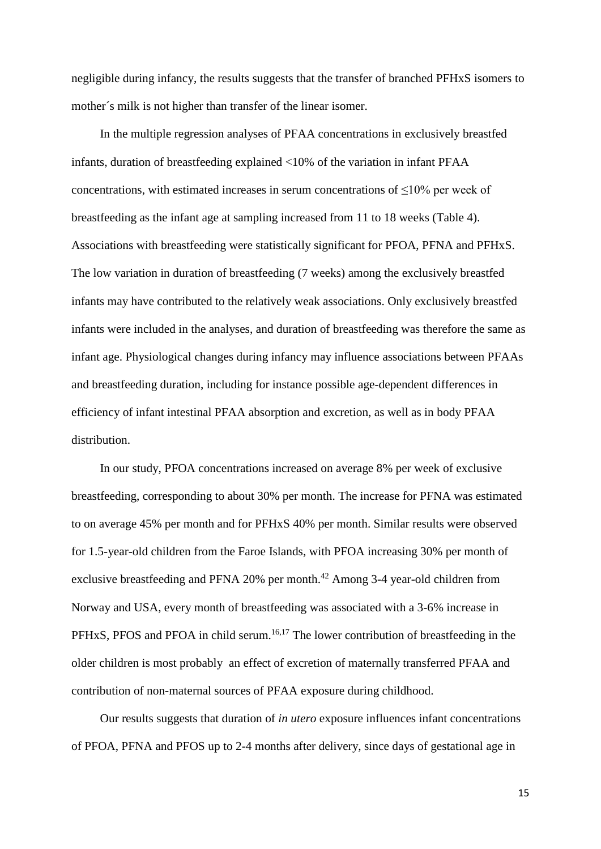negligible during infancy, the results suggests that the transfer of branched PFHxS isomers to mother´s milk is not higher than transfer of the linear isomer.

In the multiple regression analyses of PFAA concentrations in exclusively breastfed infants, duration of breastfeeding explained <10% of the variation in infant PFAA concentrations, with estimated increases in serum concentrations of  $\leq 10\%$  per week of breastfeeding as the infant age at sampling increased from 11 to 18 weeks (Table 4). Associations with breastfeeding were statistically significant for PFOA, PFNA and PFHxS. The low variation in duration of breastfeeding (7 weeks) among the exclusively breastfed infants may have contributed to the relatively weak associations. Only exclusively breastfed infants were included in the analyses, and duration of breastfeeding was therefore the same as infant age. Physiological changes during infancy may influence associations between PFAAs and breastfeeding duration, including for instance possible age-dependent differences in efficiency of infant intestinal PFAA absorption and excretion, as well as in body PFAA distribution.

In our study, PFOA concentrations increased on average 8% per week of exclusive breastfeeding, corresponding to about 30% per month. The increase for PFNA was estimated to on average 45% per month and for PFHxS 40% per month. Similar results were observed for 1.5-year-old children from the Faroe Islands, with PFOA increasing 30% per month of exclusive breastfeeding and PFNA 20% per month.<sup>42</sup> Among 3-4 year-old children from Norway and USA, every month of breastfeeding was associated with a 3-6% increase in PFHxS, PFOS and PFOA in child serum.<sup>16,17</sup> The lower contribution of breastfeeding in the older children is most probably an effect of excretion of maternally transferred PFAA and contribution of non-maternal sources of PFAA exposure during childhood.

Our results suggests that duration of *in utero* exposure influences infant concentrations of PFOA, PFNA and PFOS up to 2-4 months after delivery, since days of gestational age in

15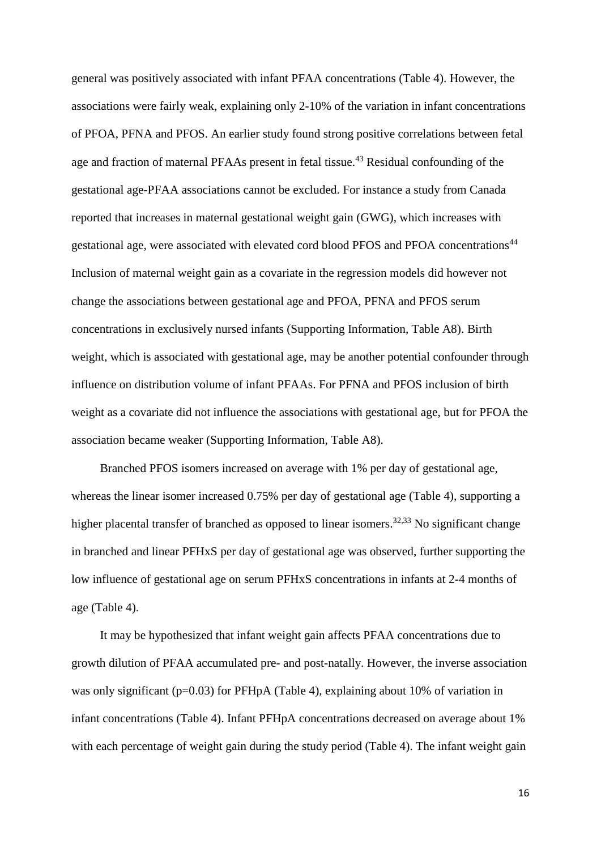general was positively associated with infant PFAA concentrations (Table 4). However, the associations were fairly weak, explaining only 2-10% of the variation in infant concentrations of PFOA, PFNA and PFOS. An earlier study found strong positive correlations between fetal age and fraction of maternal PFAAs present in fetal tissue.<sup>43</sup> Residual confounding of the gestational age-PFAA associations cannot be excluded. For instance a study from Canada reported that increases in maternal gestational weight gain (GWG), which increases with gestational age, were associated with elevated cord blood PFOS and PFOA concentrations<sup>44</sup> Inclusion of maternal weight gain as a covariate in the regression models did however not change the associations between gestational age and PFOA, PFNA and PFOS serum concentrations in exclusively nursed infants (Supporting Information, Table A8). Birth weight, which is associated with gestational age, may be another potential confounder through influence on distribution volume of infant PFAAs. For PFNA and PFOS inclusion of birth weight as a covariate did not influence the associations with gestational age, but for PFOA the association became weaker (Supporting Information, Table A8).

Branched PFOS isomers increased on average with 1% per day of gestational age, whereas the linear isomer increased 0.75% per day of gestational age (Table 4), supporting a higher placental transfer of branched as opposed to linear isomers.<sup>32,33</sup> No significant change in branched and linear PFHxS per day of gestational age was observed, further supporting the low influence of gestational age on serum PFHxS concentrations in infants at 2-4 months of age (Table 4).

It may be hypothesized that infant weight gain affects PFAA concentrations due to growth dilution of PFAA accumulated pre- and post-natally. However, the inverse association was only significant ( $p=0.03$ ) for PFHpA (Table 4), explaining about 10% of variation in infant concentrations (Table 4). Infant PFHpA concentrations decreased on average about 1% with each percentage of weight gain during the study period (Table 4). The infant weight gain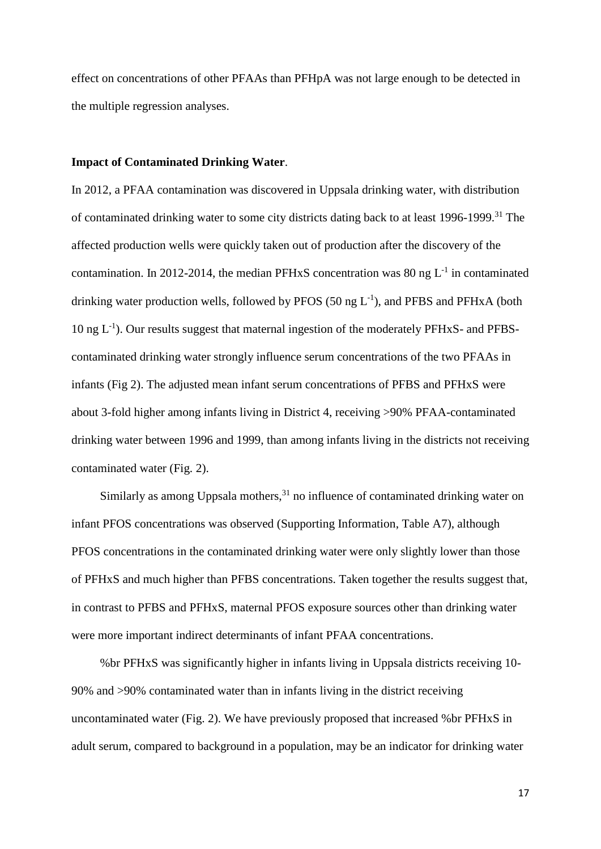effect on concentrations of other PFAAs than PFHpA was not large enough to be detected in the multiple regression analyses.

#### **Impact of Contaminated Drinking Water**.

In 2012, a PFAA contamination was discovered in Uppsala drinking water, with distribution of contaminated drinking water to some city districts dating back to at least 1996-1999. <sup>31</sup> The affected production wells were quickly taken out of production after the discovery of the contamination. In 2012-2014, the median PFHxS concentration was 80 ng  $L^{-1}$  in contaminated drinking water production wells, followed by PFOS  $(50 \text{ ng } L^{-1})$ , and PFBS and PFHxA (both 10 ng L<sup>-1</sup>). Our results suggest that maternal ingestion of the moderately PFHxS- and PFBScontaminated drinking water strongly influence serum concentrations of the two PFAAs in infants (Fig 2). The adjusted mean infant serum concentrations of PFBS and PFHxS were about 3-fold higher among infants living in District 4, receiving >90% PFAA-contaminated drinking water between 1996 and 1999, than among infants living in the districts not receiving contaminated water (Fig. 2).

Similarly as among Uppsala mothers, $31$  no influence of contaminated drinking water on infant PFOS concentrations was observed (Supporting Information, Table A7), although PFOS concentrations in the contaminated drinking water were only slightly lower than those of PFHxS and much higher than PFBS concentrations. Taken together the results suggest that, in contrast to PFBS and PFHxS, maternal PFOS exposure sources other than drinking water were more important indirect determinants of infant PFAA concentrations.

%br PFHxS was significantly higher in infants living in Uppsala districts receiving 10- 90% and >90% contaminated water than in infants living in the district receiving uncontaminated water (Fig. 2). We have previously proposed that increased %br PFHxS in adult serum, compared to background in a population, may be an indicator for drinking water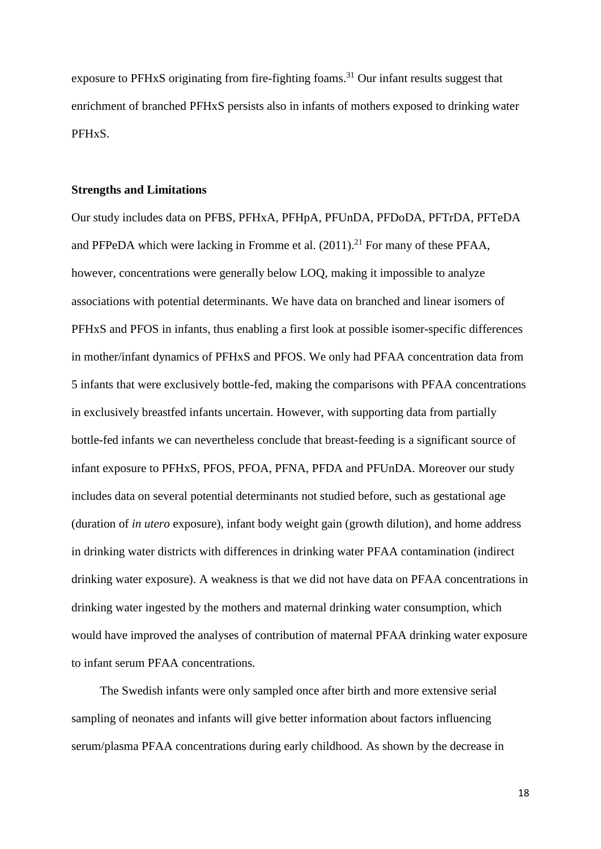exposure to PFHxS originating from fire-fighting foams.<sup>31</sup> Our infant results suggest that enrichment of branched PFHxS persists also in infants of mothers exposed to drinking water PFHxS.

#### **Strengths and Limitations**

Our study includes data on PFBS, PFHxA, PFHpA, PFUnDA, PFDoDA, PFTrDA, PFTeDA and PFPeDA which were lacking in Fromme et al.  $(2011).^{21}$  For many of these PFAA, however, concentrations were generally below LOQ, making it impossible to analyze associations with potential determinants. We have data on branched and linear isomers of PFHxS and PFOS in infants, thus enabling a first look at possible isomer-specific differences in mother/infant dynamics of PFHxS and PFOS. We only had PFAA concentration data from 5 infants that were exclusively bottle-fed, making the comparisons with PFAA concentrations in exclusively breastfed infants uncertain. However, with supporting data from partially bottle-fed infants we can nevertheless conclude that breast-feeding is a significant source of infant exposure to PFHxS, PFOS, PFOA, PFNA, PFDA and PFUnDA. Moreover our study includes data on several potential determinants not studied before, such as gestational age (duration of *in utero* exposure), infant body weight gain (growth dilution), and home address in drinking water districts with differences in drinking water PFAA contamination (indirect drinking water exposure). A weakness is that we did not have data on PFAA concentrations in drinking water ingested by the mothers and maternal drinking water consumption, which would have improved the analyses of contribution of maternal PFAA drinking water exposure to infant serum PFAA concentrations.

The Swedish infants were only sampled once after birth and more extensive serial sampling of neonates and infants will give better information about factors influencing serum/plasma PFAA concentrations during early childhood. As shown by the decrease in

18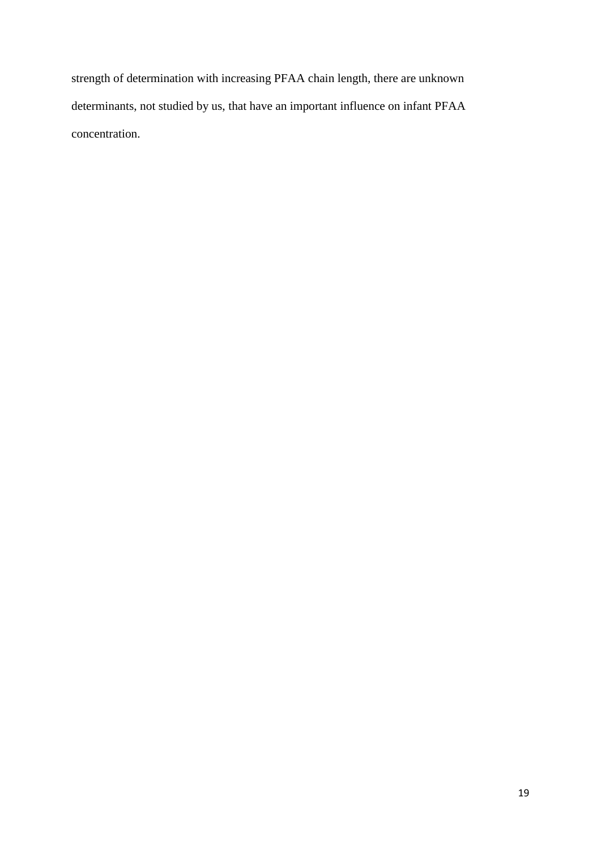strength of determination with increasing PFAA chain length, there are unknown determinants, not studied by us, that have an important influence on infant PFAA concentration.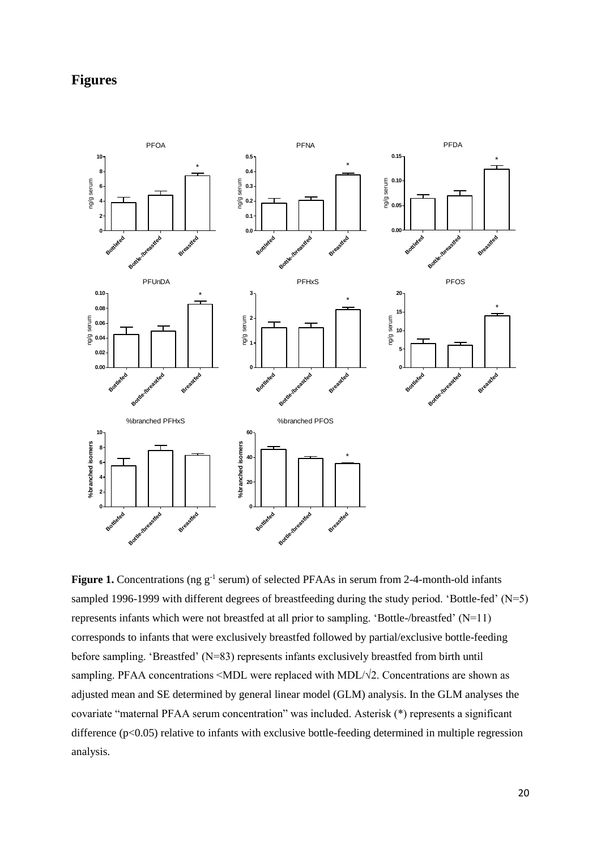# **Figures**



Figure 1. Concentrations (ng g<sup>-1</sup> serum) of selected PFAAs in serum from 2-4-month-old infants sampled 1996-1999 with different degrees of breastfeeding during the study period. 'Bottle-fed' (N=5) represents infants which were not breastfed at all prior to sampling. 'Bottle-/breastfed' (N=11) corresponds to infants that were exclusively breastfed followed by partial/exclusive bottle-feeding before sampling. 'Breastfed' (N=83) represents infants exclusively breastfed from birth until sampling. PFAA concentrations <MDL were replaced with MDL/√2. Concentrations are shown as adjusted mean and SE determined by general linear model (GLM) analysis. In the GLM analyses the covariate "maternal PFAA serum concentration" was included. Asterisk (\*) represents a significant difference (p<0.05) relative to infants with exclusive bottle-feeding determined in multiple regression analysis.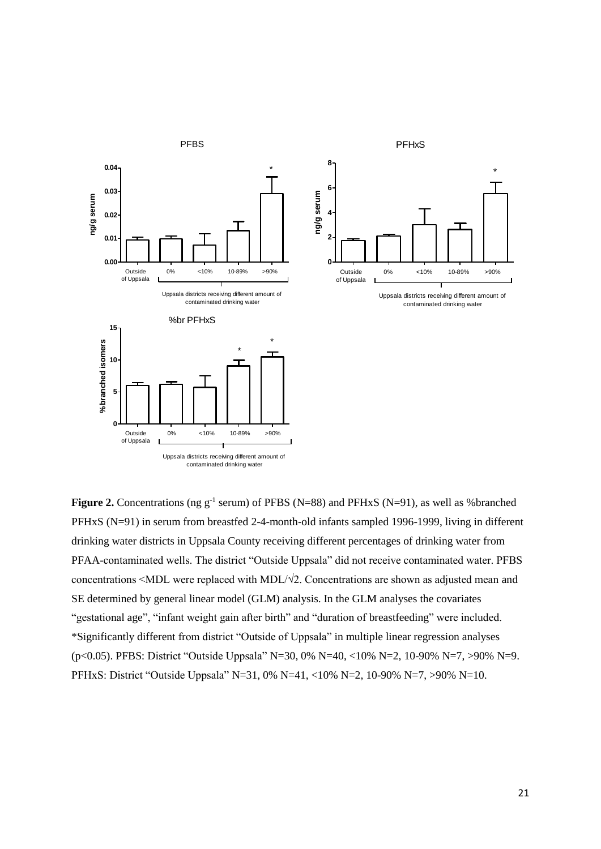

**Figure 2.** Concentrations (ng  $g^{-1}$  serum) of PFBS (N=88) and PFHxS (N=91), as well as %branched PFHxS (N=91) in serum from breastfed 2-4-month-old infants sampled 1996-1999, living in different drinking water districts in Uppsala County receiving different percentages of drinking water from PFAA-contaminated wells. The district "Outside Uppsala" did not receive contaminated water. PFBS concentrations  $\leq MDL$  were replaced with MDL/ $\sqrt{2}$ . Concentrations are shown as adjusted mean and SE determined by general linear model (GLM) analysis. In the GLM analyses the covariates "gestational age", "infant weight gain after birth" and "duration of breastfeeding" were included. \*Significantly different from district "Outside of Uppsala" in multiple linear regression analyses (p<0.05). PFBS: District "Outside Uppsala" N=30, 0% N=40, <10% N=2, 10-90% N=7, >90% N=9. PFHxS: District "Outside Uppsala" N=31, 0% N=41, <10% N=2, 10-90% N=7, >90% N=10.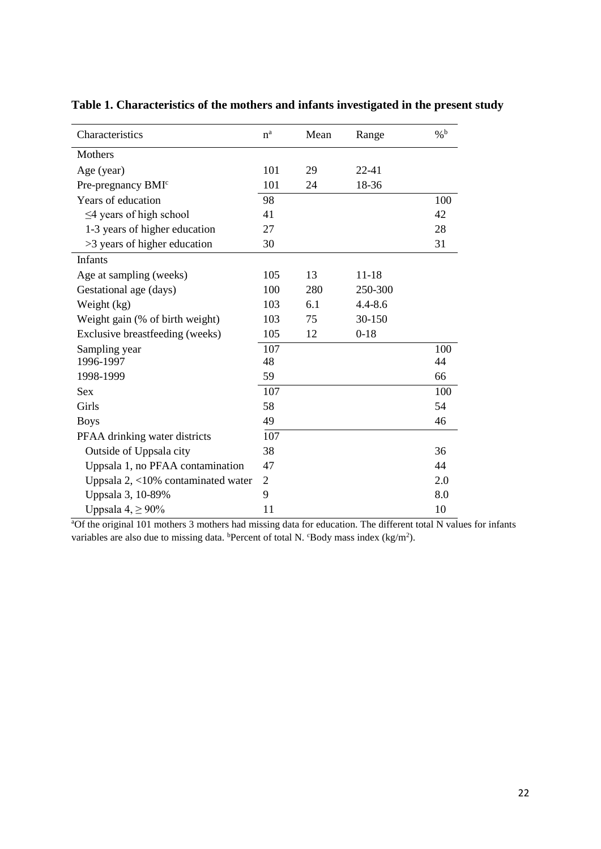| Characteristics                       | $n^a$          | Mean | Range       | $\%$ <sup>b</sup> |
|---------------------------------------|----------------|------|-------------|-------------------|
| Mothers                               |                |      |             |                   |
| Age (year)                            | 101            | 29   | $22 - 41$   |                   |
| Pre-pregnancy BMI <sup>c</sup>        | 101            | 24   | 18-36       |                   |
| Years of education                    | 98             |      |             | 100               |
| $\leq$ 4 years of high school         | 41             |      |             | 42                |
| 1-3 years of higher education         | 27             |      |             | 28                |
| >3 years of higher education          | 30             |      |             | 31                |
| Infants                               |                |      |             |                   |
| Age at sampling (weeks)               | 105            | 13   | 11-18       |                   |
| Gestational age (days)                | 100            | 280  | 250-300     |                   |
| Weight (kg)                           | 103            | 6.1  | $4.4 - 8.6$ |                   |
| Weight gain (% of birth weight)       | 103            | 75   | 30-150      |                   |
| Exclusive breastfeeding (weeks)       | 105            | 12   | $0 - 18$    |                   |
| Sampling year                         | 107            |      |             | 100               |
| 1996-1997                             | 48             |      |             | 44                |
| 1998-1999                             | 59             |      |             | 66                |
| Sex                                   | 107            |      |             | 100               |
| Girls                                 | 58             |      |             | 54                |
| <b>Boys</b>                           | 49             |      |             | 46                |
| PFAA drinking water districts         | 107            |      |             |                   |
| Outside of Uppsala city               | 38             |      |             | 36                |
| Uppsala 1, no PFAA contamination      | 47             |      |             | 44                |
| Uppsala $2, <10\%$ contaminated water | $\overline{2}$ |      |             | 2.0               |
| Uppsala 3, 10-89%                     | 9              |      |             | 8.0               |
| Uppsala $4, \geq 90\%$                | 11             |      |             | 10                |

# **Table 1. Characteristics of the mothers and infants investigated in the present study**

<sup>a</sup>Of the original 101 mothers 3 mothers had missing data for education. The different total N values for infants variables are also due to missing data. **Percent** of total N.  $C$ Body mass index (kg/m<sup>2</sup>).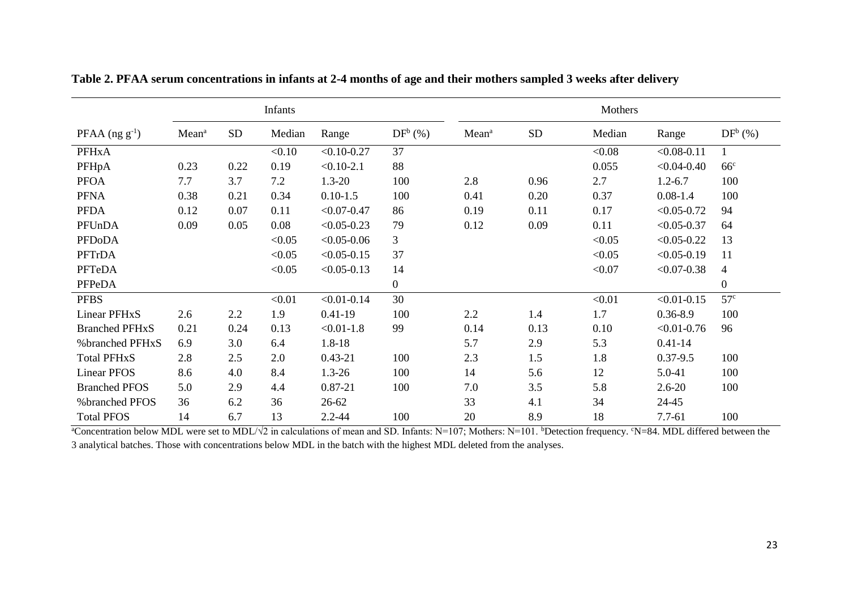|                       |                   |           | Infants |                 |                |                   |            | Mothers |                 |                 |
|-----------------------|-------------------|-----------|---------|-----------------|----------------|-------------------|------------|---------|-----------------|-----------------|
| $PFAA (ng g-1)$       | Mean <sup>a</sup> | <b>SD</b> | Median  | Range           | $DF^b$ (%)     | Mean <sup>a</sup> | ${\rm SD}$ | Median  | Range           | $DF^b$ (%)      |
| <b>PFHxA</b>          |                   |           | < 0.10  | $< 0.10 - 0.27$ | 37             |                   |            | < 0.08  | $< 0.08 - 0.11$ |                 |
| PFHpA                 | 0.23              | 0.22      | 0.19    | $< 0.10 - 2.1$  | 88             |                   |            | 0.055   | $< 0.04 - 0.40$ | 66 <sup>c</sup> |
| <b>PFOA</b>           | 7.7               | 3.7       | 7.2     | $1.3 - 20$      | 100            | 2.8               | 0.96       | 2.7     | $1.2 - 6.7$     | 100             |
| <b>PFNA</b>           | 0.38              | 0.21      | 0.34    | $0.10 - 1.5$    | 100            | 0.41              | 0.20       | 0.37    | $0.08 - 1.4$    | 100             |
| <b>PFDA</b>           | 0.12              | 0.07      | 0.11    | $< 0.07 - 0.47$ | 86             | 0.19              | 0.11       | 0.17    | $< 0.05 - 0.72$ | 94              |
| PFUnDA                | 0.09              | 0.05      | 0.08    | $< 0.05 - 0.23$ | 79             | 0.12              | 0.09       | 0.11    | $< 0.05 - 0.37$ | 64              |
| <b>PFDoDA</b>         |                   |           | < 0.05  | $< 0.05 - 0.06$ | 3              |                   |            | < 0.05  | $< 0.05 - 0.22$ | 13              |
| PFTrDA                |                   |           | < 0.05  | $< 0.05 - 0.15$ | 37             |                   |            | < 0.05  | $< 0.05 - 0.19$ | 11              |
| PFTeDA                |                   |           | < 0.05  | $< 0.05 - 0.13$ | 14             |                   |            | < 0.07  | $< 0.07 - 0.38$ | 4               |
| PFPeDA                |                   |           |         |                 | $\overline{0}$ |                   |            |         |                 | $\theta$        |
| <b>PFBS</b>           |                   |           | < 0.01  | $< 0.01 - 0.14$ | 30             |                   |            | < 0.01  | $< 0.01 - 0.15$ | 57 <sup>c</sup> |
| Linear PFHxS          | 2.6               | 2.2       | 1.9     | $0.41 - 19$     | 100            | 2.2               | 1.4        | 1.7     | $0.36 - 8.9$    | 100             |
| <b>Branched PFHxS</b> | 0.21              | 0.24      | 0.13    | $< 0.01 - 1.8$  | 99             | 0.14              | 0.13       | 0.10    | $< 0.01 - 0.76$ | 96              |
| %branched PFHxS       | 6.9               | 3.0       | 6.4     | $1.8 - 18$      |                | 5.7               | 2.9        | 5.3     | $0.41 - 14$     |                 |
| <b>Total PFHxS</b>    | 2.8               | 2.5       | 2.0     | $0.43 - 21$     | 100            | 2.3               | 1.5        | 1.8     | $0.37 - 9.5$    | 100             |
| <b>Linear PFOS</b>    | 8.6               | 4.0       | 8.4     | $1.3 - 26$      | 100            | 14                | 5.6        | 12      | 5.0-41          | 100             |
| <b>Branched PFOS</b>  | 5.0               | 2.9       | 4.4     | $0.87 - 21$     | 100            | 7.0               | 3.5        | 5.8     | $2.6 - 20$      | 100             |
| % branched PFOS       | 36                | 6.2       | 36      | 26-62           |                | 33                | 4.1        | 34      | 24-45           |                 |
| <b>Total PFOS</b>     | 14                | 6.7       | 13      | $2.2 - 44$      | 100            | 20                | 8.9        | 18      | $7.7 - 61$      | 100             |

**Table 2. PFAA serum concentrations in infants at 2-4 months of age and their mothers sampled 3 weeks after delivery**

<sup>a</sup>Concentration below MDL were set to MDL/√2 in calculations of mean and SD. Infants: N=107; Mothers: N=101. <sup>b</sup>Detection frequency. <sup>c</sup>N=84. MDL differed between the 3 analytical batches. Those with concentrations below MDL in the batch with the highest MDL deleted from the analyses.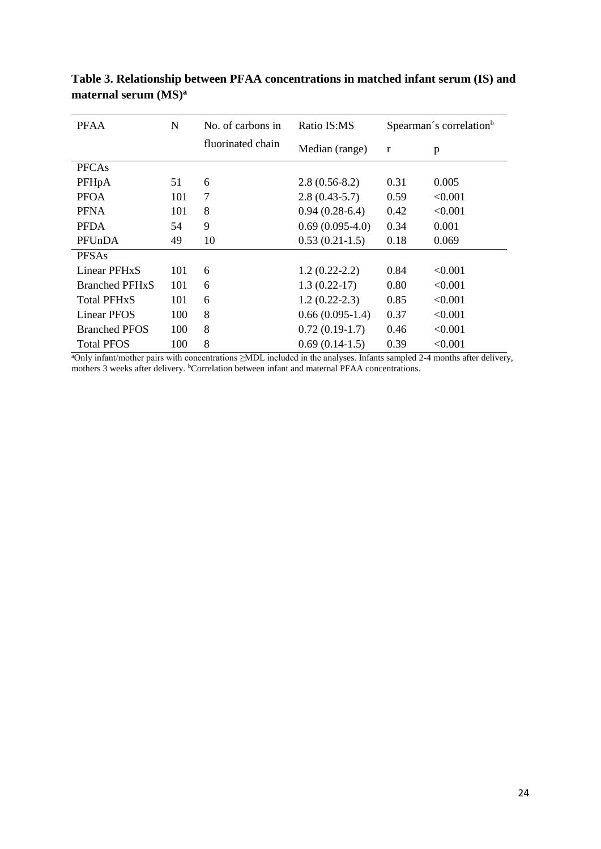| <b>PFAA</b>               | N   | No. of carbons in | Ratio IS:MS       |      | Spearman's correlation <sup>b</sup> |
|---------------------------|-----|-------------------|-------------------|------|-------------------------------------|
|                           |     | fluorinated chain | Median (range)    | r    | p                                   |
| <b>PFCAs</b>              |     |                   |                   |      |                                     |
| PFHpA                     | 51  | 6                 | $2.8(0.56-8.2)$   | 0.31 | 0.005                               |
| <b>PFOA</b>               | 101 | 7                 | $2.8(0.43-5.7)$   | 0.59 | < 0.001                             |
| <b>PFNA</b>               | 101 | 8                 | $0.94(0.28-6.4)$  | 0.42 | < 0.001                             |
| <b>PFDA</b>               | 54  | 9                 | $0.69(0.095-4.0)$ | 0.34 | 0.001                               |
| PFUnDA                    | 49  | 10                | $0.53(0.21-1.5)$  | 0.18 | 0.069                               |
| <b>PFSAs</b>              |     |                   |                   |      |                                     |
| Linear PFH <sub>x</sub> S | 101 | 6                 | $1.2(0.22-2.2)$   | 0.84 | < 0.001                             |
| <b>Branched PFHxS</b>     | 101 | 6                 | $1.3(0.22-17)$    | 0.80 | < 0.001                             |
| <b>Total PFHxS</b>        | 101 | 6                 | $1.2(0.22-2.3)$   | 0.85 | < 0.001                             |
| Linear PFOS               | 100 | 8                 | $0.66(0.095-1.4)$ | 0.37 | < 0.001                             |
| <b>Branched PFOS</b>      | 100 | 8                 | $0.72(0.19-1.7)$  | 0.46 | < 0.001                             |
| <b>Total PFOS</b>         | 100 | 8                 | $0.69(0.14-1.5)$  | 0.39 | < 0.001                             |

**Table 3. Relationship between PFAA concentrations in matched infant serum (IS) and maternal serum (MS)<sup>a</sup>**

<sup>a</sup>Only infant/mother pairs with concentrations ≥MDL included in the analyses. Infants sampled 2-4 months after delivery, mothers 3 weeks after delivery. <sup>b</sup>Correlation between infant and maternal PFAA concentrations.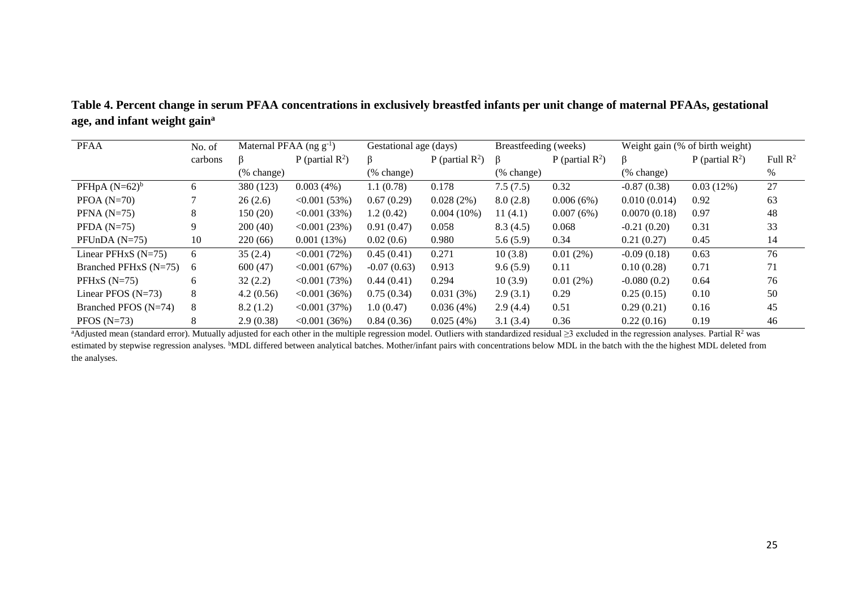**Table 4. Percent change in serum PFAA concentrations in exclusively breastfed infants per unit change of maternal PFAAs, gestational age, and infant weight gain<sup>a</sup>**

| <b>PFAA</b>             | No. of  | Maternal PFAA (ng $g^{-1}$ ) |                             | Gestational age (days) |                    | Breastfeeding (weeks) |                             |               | Weight gain (% of birth weight) |                     |
|-------------------------|---------|------------------------------|-----------------------------|------------------------|--------------------|-----------------------|-----------------------------|---------------|---------------------------------|---------------------|
|                         | carbons | ß                            | P (partial $\mathbb{R}^2$ ) | β                      | P (partial $R^2$ ) | ß                     | P (partial $\mathbb{R}^2$ ) | β             | P (partial $\mathbb{R}^2$ )     | Full $\mathbb{R}^2$ |
|                         |         | $(\%$ change)                |                             | (% change)             |                    | (% change)            |                             | (% change)    |                                 | %                   |
| PFHpA $(N=62)^b$        | 6       | 380 (123)                    | 0.003(4%)                   | 1.1(0.78)              | 0.178              | 7.5(7.5)              | 0.32                        | $-0.87(0.38)$ | 0.03(12%)                       | 27                  |
| $PFOA (N=70)$           | ┑       | 26(2.6)                      | $\langle 0.001 (53\%)$      | 0.67(0.29)             | 0.028(2%)          | 8.0(2.8)              | 0.006(6%)                   | 0.010(0.014)  | 0.92                            | 63                  |
| $PFNA$ (N=75)           | 8       | 150(20)                      | $\leq 0.001(33\%)$          | 1.2(0.42)              | $0.004(10\%)$      | 11(4.1)               | 0.007(6%)                   | 0.0070(0.18)  | 0.97                            | 48                  |
| PFDA $(N=75)$           | 9       | 200(40)                      | $\langle 0.001 (23\%)$      | 0.91(0.47)             | 0.058              | 8.3(4.5)              | 0.068                       | $-0.21(0.20)$ | 0.31                            | 33                  |
| PFUnDA $(N=75)$         | 10      | 220(66)                      | 0.001(13%)                  | 0.02(0.6)              | 0.980              | 5.6(5.9)              | 0.34                        | 0.21(0.27)    | 0.45                            | 14                  |
| Linear PFHxS $(N=75)$   | 6       | 35(2.4)                      | $\leq 0.001(72\%)$          | 0.45(0.41)             | 0.271              | 10(3.8)               | 0.01(2%)                    | $-0.09(0.18)$ | 0.63                            | 76                  |
| Branched PFHxS $(N=75)$ | -6      | 600(47)                      | < 0.001(67%)                | $-0.07(0.63)$          | 0.913              | 9.6(5.9)              | 0.11                        | 0.10(0.28)    | 0.71                            | 71                  |
| PFHxS $(N=75)$          | 6       | 32(2.2)                      | $\leq 0.001(73%)$           | 0.44(0.41)             | 0.294              | 10(3.9)               | 0.01(2%)                    | $-0.080(0.2)$ | 0.64                            | 76                  |
| Linear PFOS $(N=73)$    | 8       | 4.2(0.56)                    | $\leq 0.001(36\%)$          | 0.75(0.34)             | 0.031(3%)          | 2.9(3.1)              | 0.29                        | 0.25(0.15)    | 0.10                            | 50                  |
| Branched PFOS $(N=74)$  | 8       | 8.2(1.2)                     | $\leq 0.001(37\%)$          | 1.0(0.47)              | 0.036(4%)          | 2.9(4.4)              | 0.51                        | 0.29(0.21)    | 0.16                            | 45                  |
| PFOS $(N=73)$           | 8       | 2.9(0.38)                    | $\leq 0.001(36\%)$          | 0.84(0.36)             | 0.025(4%)          | 3.1(3.4)              | 0.36                        | 0.22(0.16)    | 0.19                            | 46                  |

<sup>a</sup>Adjusted mean (standard error). Mutually adjusted for each other in the multiple regression model. Outliers with standardized residual  $\geq$ 3 excluded in the regression analyses. Partial  $\mathbb{R}^2$  was estimated by stepwise regression analyses. <sup>b</sup>MDL differed between analytical batches. Mother/infant pairs with concentrations below MDL in the batch with the the highest MDL deleted from the analyses.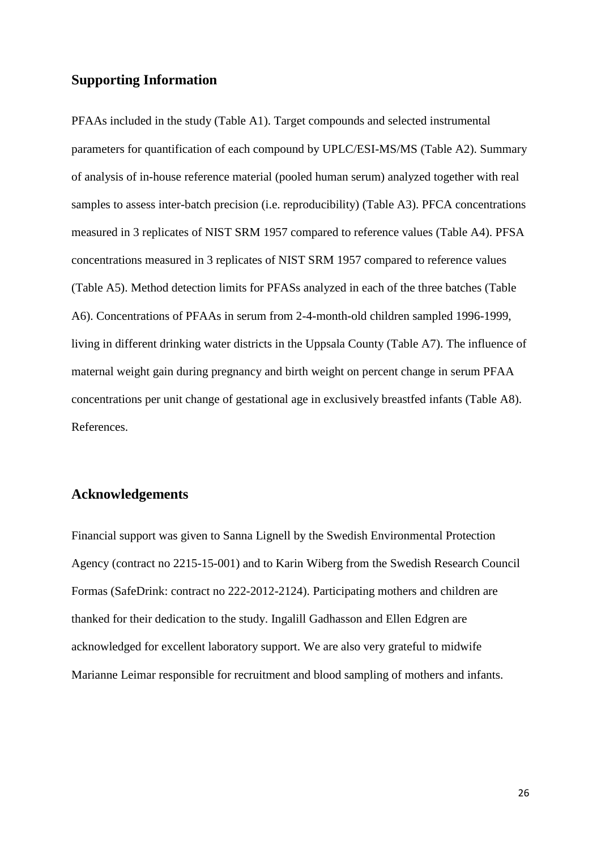# **Supporting Information**

PFAAs included in the study (Table A1). Target compounds and selected instrumental parameters for quantification of each compound by UPLC/ESI-MS/MS (Table A2). Summary of analysis of in-house reference material (pooled human serum) analyzed together with real samples to assess inter-batch precision (i.e. reproducibility) (Table A3). PFCA concentrations measured in 3 replicates of NIST SRM 1957 compared to reference values (Table A4). PFSA concentrations measured in 3 replicates of NIST SRM 1957 compared to reference values (Table A5). Method detection limits for PFASs analyzed in each of the three batches (Table A6). Concentrations of PFAAs in serum from 2-4-month-old children sampled 1996-1999, living in different drinking water districts in the Uppsala County (Table A7). The influence of maternal weight gain during pregnancy and birth weight on percent change in serum PFAA concentrations per unit change of gestational age in exclusively breastfed infants (Table A8). References.

# **Acknowledgements**

Financial support was given to Sanna Lignell by the Swedish Environmental Protection Agency (contract no 2215-15-001) and to Karin Wiberg from the Swedish Research Council Formas (SafeDrink: contract no 222-2012-2124). Participating mothers and children are thanked for their dedication to the study. Ingalill Gadhasson and Ellen Edgren are acknowledged for excellent laboratory support. We are also very grateful to midwife Marianne Leimar responsible for recruitment and blood sampling of mothers and infants.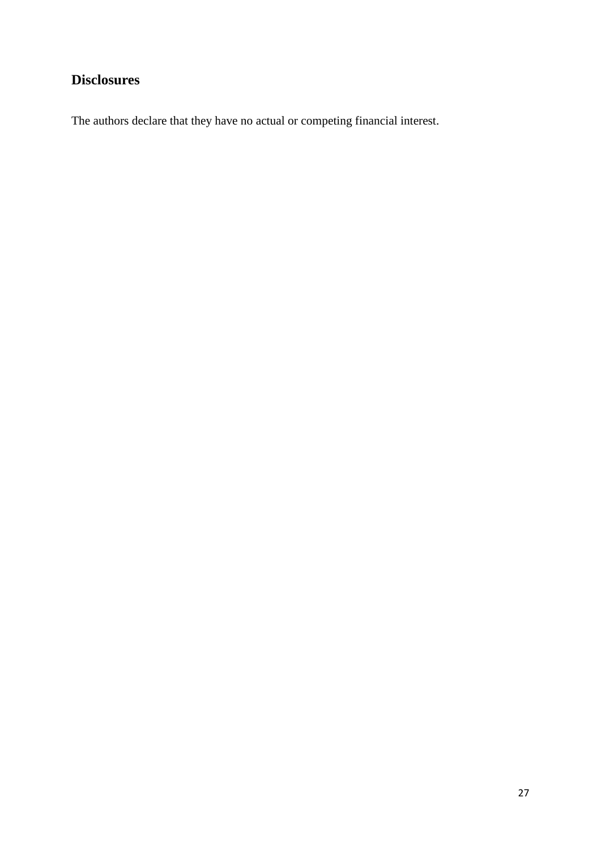# **Disclosures**

The authors declare that they have no actual or competing financial interest.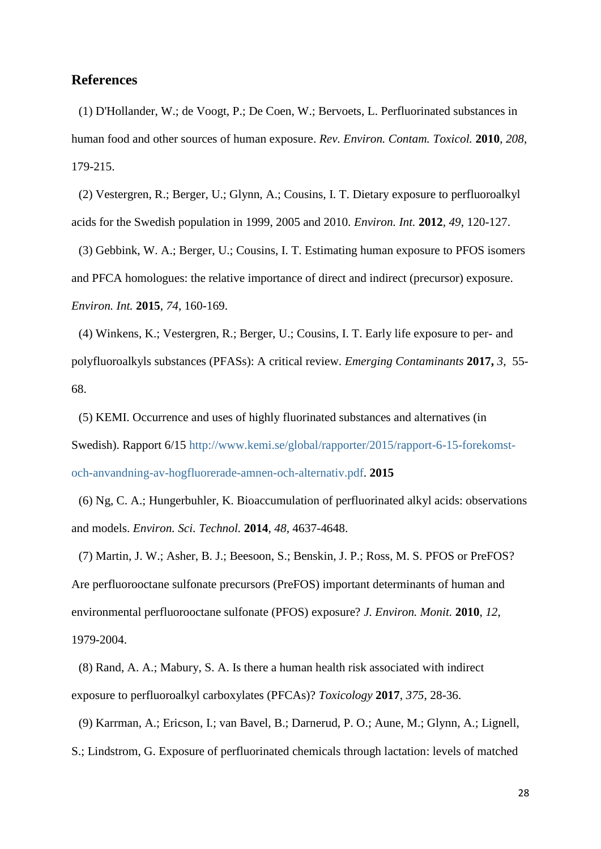### **References**

(1) D'Hollander, W.; de Voogt, P.; De Coen, W.; Bervoets, L. Perfluorinated substances in human food and other sources of human exposure. *Rev. Environ. Contam. Toxicol.* **2010**, *208*, 179-215.

(2) Vestergren, R.; Berger, U.; Glynn, A.; Cousins, I. T. Dietary exposure to perfluoroalkyl acids for the Swedish population in 1999, 2005 and 2010. *Environ. Int.* **2012**, *49*, 120-127.

(3) Gebbink, W. A.; Berger, U.; Cousins, I. T. Estimating human exposure to PFOS isomers and PFCA homologues: the relative importance of direct and indirect (precursor) exposure. *Environ. Int.* **2015**, *74*, 160-169.

(4) Winkens, K.; Vestergren, R.; Berger, U.; Cousins, I. T. Early life exposure to per- and polyfluoroalkyls substances (PFASs): A critical review. *Emerging Contaminants* **2017,** *3*, 55- 68.

(5) KEMI. Occurrence and uses of highly fluorinated substances and alternatives (in Swedish). Rapport 6/15 [http://www.kemi.se/global/rapporter/2015/rapport-6-15-forekomst](http://www.kemi.se/global/rapporter/2015/rapport-6-15-forekomst-och-anvandning-av-hogfluorerade-amnen-och-alternativ.pdf)[och-anvandning-av-hogfluorerade-amnen-och-alternativ.pdf.](http://www.kemi.se/global/rapporter/2015/rapport-6-15-forekomst-och-anvandning-av-hogfluorerade-amnen-och-alternativ.pdf) **2015**

(6) Ng, C. A.; Hungerbuhler, K. Bioaccumulation of perfluorinated alkyl acids: observations and models. *Environ. Sci. Technol.* **2014**, *48*, 4637-4648.

(7) Martin, J. W.; Asher, B. J.; Beesoon, S.; Benskin, J. P.; Ross, M. S. PFOS or PreFOS? Are perfluorooctane sulfonate precursors (PreFOS) important determinants of human and environmental perfluorooctane sulfonate (PFOS) exposure? *J. Environ. Monit.* **2010**, *12*, 1979-2004.

(8) Rand, A. A.; Mabury, S. A. Is there a human health risk associated with indirect exposure to perfluoroalkyl carboxylates (PFCAs)? *Toxicology* **2017**, *375*, 28-36.

(9) Karrman, A.; Ericson, I.; van Bavel, B.; Darnerud, P. O.; Aune, M.; Glynn, A.; Lignell,

S.; Lindstrom, G. Exposure of perfluorinated chemicals through lactation: levels of matched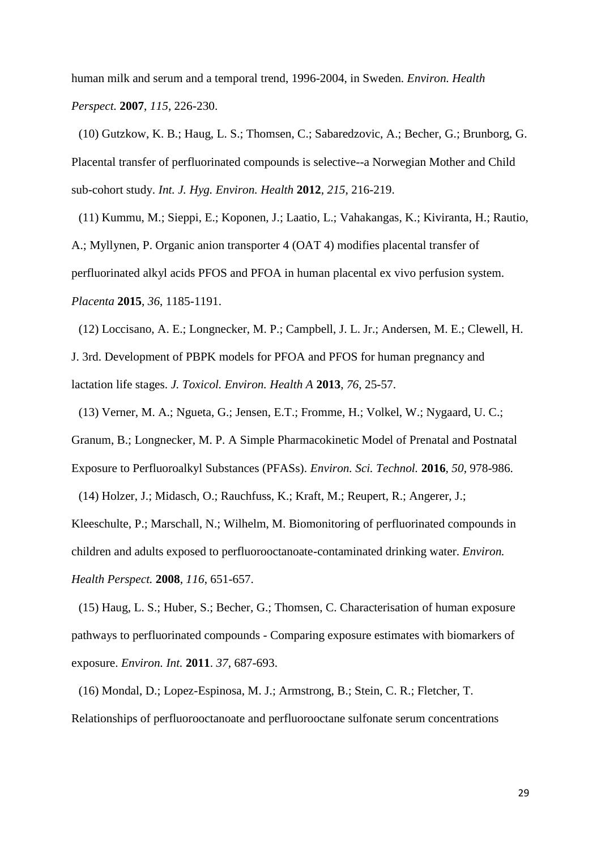human milk and serum and a temporal trend, 1996-2004, in Sweden. *Environ. Health Perspect.* **2007**, *115*, 226-230.

(10) Gutzkow, K. B.; Haug, L. S.; Thomsen, C.; Sabaredzovic, A.; Becher, G.; Brunborg, G. Placental transfer of perfluorinated compounds is selective--a Norwegian Mother and Child sub-cohort study. *Int. J. Hyg. Environ. Health* **2012**, *215*, 216-219.

(11) Kummu, M.; Sieppi, E.; Koponen, J.; Laatio, L.; Vahakangas, K.; Kiviranta, H.; Rautio, A.; Myllynen, P. Organic anion transporter 4 (OAT 4) modifies placental transfer of perfluorinated alkyl acids PFOS and PFOA in human placental ex vivo perfusion system. *Placenta* **2015**, *36*, 1185-1191.

(12) Loccisano, A. E.; Longnecker, M. P.; Campbell, J. L. Jr.; Andersen, M. E.; Clewell, H. J. 3rd. Development of PBPK models for PFOA and PFOS for human pregnancy and lactation life stages. *J. Toxicol. Environ. Health A* **2013**, *76*, 25-57.

(13) Verner, M. A.; Ngueta, G.; Jensen, E.T.; Fromme, H.; Volkel, W.; Nygaard, U. C.; Granum, B.; Longnecker, M. P. A Simple Pharmacokinetic Model of Prenatal and Postnatal Exposure to Perfluoroalkyl Substances (PFASs). *Environ. Sci. Technol.* **2016**, *50*, 978-986.

(14) Holzer, J.; Midasch, O.; Rauchfuss, K.; Kraft, M.; Reupert, R.; Angerer, J.;

Kleeschulte, P.; Marschall, N.; Wilhelm, M. Biomonitoring of perfluorinated compounds in children and adults exposed to perfluorooctanoate-contaminated drinking water. *Environ. Health Perspect.* **2008**, *116*, 651-657.

(15) Haug, L. S.; Huber, S.; Becher, G.; Thomsen, C. Characterisation of human exposure pathways to perfluorinated compounds - Comparing exposure estimates with biomarkers of exposure. *Environ. Int.* **2011**. *37*, 687-693.

(16) Mondal, D.; Lopez-Espinosa, M. J.; Armstrong, B.; Stein, C. R.; Fletcher, T. Relationships of perfluorooctanoate and perfluorooctane sulfonate serum concentrations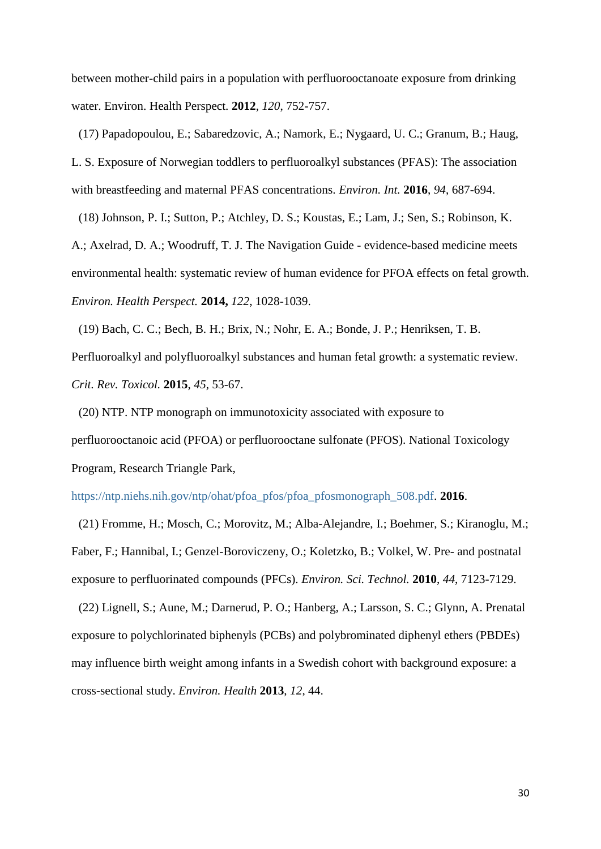between mother-child pairs in a population with perfluorooctanoate exposure from drinking water. Environ. Health Perspect. **2012**, *120*, 752-757.

(17) Papadopoulou, E.; Sabaredzovic, A.; Namork, E.; Nygaard, U. C.; Granum, B.; Haug, L. S. Exposure of Norwegian toddlers to perfluoroalkyl substances (PFAS): The association with breastfeeding and maternal PFAS concentrations. *Environ. Int.* **2016**, *94*, 687-694.

(18) Johnson, P. I.; Sutton, P.; Atchley, D. S.; Koustas, E.; Lam, J.; Sen, S.; Robinson, K. A.; Axelrad, D. A.; Woodruff, T. J. The Navigation Guide - evidence-based medicine meets environmental health: systematic review of human evidence for PFOA effects on fetal growth. *Environ. Health Perspect.* **2014,** *122*, 1028-1039.

<span id="page-30-0"></span>(19) Bach, C. C.; Bech, B. H.; Brix, N.; Nohr, E. A.; Bonde, J. P.; Henriksen, T. B. Perfluoroalkyl and polyfluoroalkyl substances and human fetal growth: a systematic review. *Crit. Rev. Toxicol.* **2015**, *45*, 53-67.

(20) NTP. NTP monograph on immunotoxicity associated with exposure to perfluorooctanoic acid (PFOA) or perfluorooctane sulfonate (PFOS). National Toxicology Program, Research Triangle Park,

[https://ntp.niehs.nih.gov/ntp/ohat/pfoa\\_pfos/pfoa\\_pfosmonograph\\_508.pdf.](https://ntp.niehs.nih.gov/ntp/ohat/pfoa_pfos/pfoa_pfosmonograph_508.pdf) **2016**.

(21) Fromme, H.; Mosch, C.; Morovitz, M.; Alba-Alejandre, I.; Boehmer, S.; Kiranoglu, M.; Faber, F.; Hannibal, I.; Genzel-Boroviczeny, O.; Koletzko, B.; Volkel, W. Pre- and postnatal exposure to perfluorinated compounds (PFCs). *Environ. Sci. Technol.* **2010**, *44*, 7123-7129.

(22) Lignell, S.; Aune, M.; Darnerud, P. O.; Hanberg, A.; Larsson, S. C.; Glynn, A. Prenatal exposure to polychlorinated biphenyls (PCBs) and polybrominated diphenyl ethers (PBDEs) may influence birth weight among infants in a Swedish cohort with background exposure: a cross-sectional study. *Environ. Health* **2013**, *12*, 44.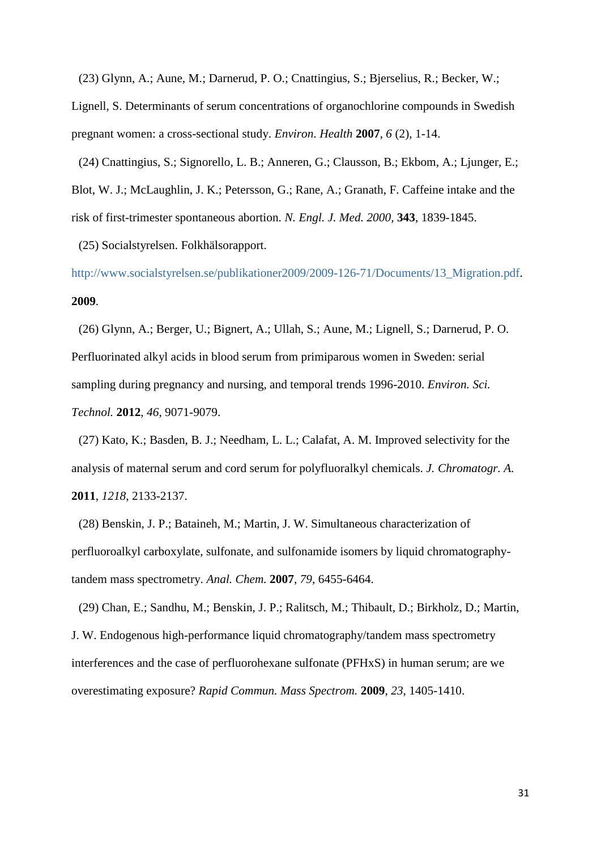(23) Glynn, A.; Aune, M.; Darnerud, P. O.; Cnattingius, S.; Bjerselius, R.; Becker, W.;

Lignell, S. Determinants of serum concentrations of organochlorine compounds in Swedish pregnant women: a cross-sectional study. *Environ. Health* **2007**, *6* (2), 1-14.

(24) Cnattingius, S.; Signorello, L. B.; Anneren, G.; Clausson, B.; Ekbom, A.; Ljunger, E.; Blot, W. J.; McLaughlin, J. K.; Petersson, G.; Rane, A.; Granath, F. Caffeine intake and the risk of first-trimester spontaneous abortion. *N. Engl. J. Med. 2000,* **343**, 1839-1845.

(25) Socialstyrelsen. Folkhälsorapport.

[http://www.socialstyrelsen.se/publikationer2009/2009-126-71/Documents/13\\_Migration.pdf.](http://www.socialstyrelsen.se/publikationer2009/2009-126-71/Documents/13_Migration.pdf) **2009**.

(26) Glynn, A.; Berger, U.; Bignert, A.; Ullah, S.; Aune, M.; Lignell, S.; Darnerud, P. O. Perfluorinated alkyl acids in blood serum from primiparous women in Sweden: serial sampling during pregnancy and nursing, and temporal trends 1996-2010. *Environ. Sci. Technol.* **2012**, *46*, 9071-9079.

(27) Kato, K.; Basden, B. J.; Needham, L. L.; Calafat, A. M. Improved selectivity for the analysis of maternal serum and cord serum for polyfluoralkyl chemicals. *J. Chromatogr. A.*  **2011**, *1218*, 2133-2137.

(28) Benskin, J. P.; Bataineh, M.; Martin, J. W. Simultaneous characterization of perfluoroalkyl carboxylate, sulfonate, and sulfonamide isomers by liquid chromatographytandem mass spectrometry. *Anal. Chem.* **2007**, *79*, 6455-6464.

(29) Chan, E.; Sandhu, M.; Benskin, J. P.; Ralitsch, M.; Thibault, D.; Birkholz, D.; Martin, J. W. Endogenous high-performance liquid chromatography/tandem mass spectrometry interferences and the case of perfluorohexane sulfonate (PFHxS) in human serum; are we overestimating exposure? *Rapid Commun. Mass Spectrom.* **2009**, *23*, 1405-1410.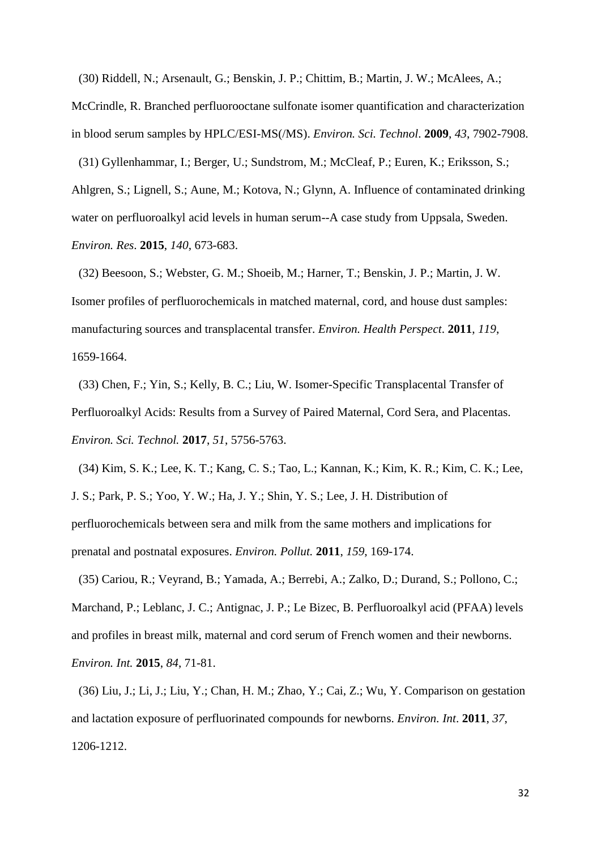(30) Riddell, N.; Arsenault, G.; Benskin, J. P.; Chittim, B.; Martin, J. W.; McAlees, A.;

McCrindle, R. Branched perfluorooctane sulfonate isomer quantification and characterization in blood serum samples by HPLC/ESI-MS(/MS). *Environ. Sci. Technol*. **2009**, *43*, 7902-7908.

(31) Gyllenhammar, I.; Berger, U.; Sundstrom, M.; McCleaf, P.; Euren, K.; Eriksson, S.; Ahlgren, S.; Lignell, S.; Aune, M.; Kotova, N.; Glynn, A. Influence of contaminated drinking water on perfluoroalkyl acid levels in human serum--A case study from Uppsala, Sweden. *Environ. Res*. **2015**, *140*, 673-683.

(32) Beesoon, S.; Webster, G. M.; Shoeib, M.; Harner, T.; Benskin, J. P.; Martin, J. W. Isomer profiles of perfluorochemicals in matched maternal, cord, and house dust samples: manufacturing sources and transplacental transfer. *Environ. Health Perspect*. **2011**, *119*, 1659-1664.

(33) Chen, F.; Yin, S.; Kelly, B. C.; Liu, W. Isomer-Specific Transplacental Transfer of Perfluoroalkyl Acids: Results from a Survey of Paired Maternal, Cord Sera, and Placentas. *Environ. Sci. Technol.* **2017**, *51*, 5756-5763.

(34) Kim, S. K.; Lee, K. T.; Kang, C. S.; Tao, L.; Kannan, K.; Kim, K. R.; Kim, C. K.; Lee, J. S.; Park, P. S.; Yoo, Y. W.; Ha, J. Y.; Shin, Y. S.; Lee, J. H. Distribution of perfluorochemicals between sera and milk from the same mothers and implications for prenatal and postnatal exposures. *Environ. Pollut.* **2011**, *159*, 169-174.

(35) Cariou, R.; Veyrand, B.; Yamada, A.; Berrebi, A.; Zalko, D.; Durand, S.; Pollono, C.; Marchand, P.; Leblanc, J. C.; Antignac, J. P.; Le Bizec, B. Perfluoroalkyl acid (PFAA) levels and profiles in breast milk, maternal and cord serum of French women and their newborns. *Environ. Int.* **2015**, *84*, 71-81.

(36) Liu, J.; Li, J.; Liu, Y.; Chan, H. M.; Zhao, Y.; Cai, Z.; Wu, Y. Comparison on gestation and lactation exposure of perfluorinated compounds for newborns. *Environ. Int*. **2011**, *37*, 1206-1212.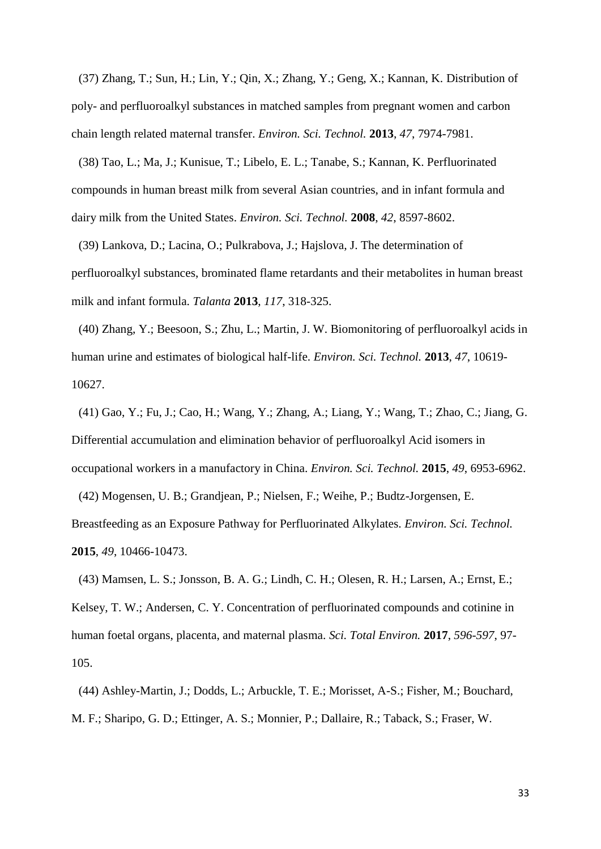(37) Zhang, T.; Sun, H.; Lin, Y.; Qin, X.; Zhang, Y.; Geng, X.; Kannan, K. Distribution of poly- and perfluoroalkyl substances in matched samples from pregnant women and carbon chain length related maternal transfer. *Environ. Sci. Technol.* **2013**, *47*, 7974-7981.

(38) Tao, L.; Ma, J.; Kunisue, T.; Libelo, E. L.; Tanabe, S.; Kannan, K. Perfluorinated compounds in human breast milk from several Asian countries, and in infant formula and dairy milk from the United States. *Environ. Sci. Technol.* **2008**, *42*, 8597-8602.

(39) Lankova, D.; Lacina, O.; Pulkrabova, J.; Hajslova, J. The determination of perfluoroalkyl substances, brominated flame retardants and their metabolites in human breast milk and infant formula. *Talanta* **2013**, *117*, 318-325.

(40) Zhang, Y.; Beesoon, S.; Zhu, L.; Martin, J. W. Biomonitoring of perfluoroalkyl acids in human urine and estimates of biological half-life. *Environ. Sci. Technol.* **2013**, *47*, 10619- 10627.

(41) Gao, Y.; Fu, J.; Cao, H.; Wang, Y.; Zhang, A.; Liang, Y.; Wang, T.; Zhao, C.; Jiang, G. Differential accumulation and elimination behavior of perfluoroalkyl Acid isomers in occupational workers in a manufactory in China. *Environ. Sci. Technol.* **2015**, *49*, 6953-6962.

(42) Mogensen, U. B.; Grandjean, P.; Nielsen, F.; Weihe, P.; Budtz-Jorgensen, E. Breastfeeding as an Exposure Pathway for Perfluorinated Alkylates. *Environ. Sci. Technol.* **2015**, *49*, 10466-10473.

(43) Mamsen, L. S.; Jonsson, B. A. G.; Lindh, C. H.; Olesen, R. H.; Larsen, A.; Ernst, E.; Kelsey, T. W.; Andersen, C. Y. Concentration of perfluorinated compounds and cotinine in human foetal organs, placenta, and maternal plasma. *Sci. Total Environ.* **2017**, *596-597*, 97- 105.

(44) Ashley-Martin, J.; Dodds, L.; Arbuckle, T. E.; Morisset, A-S.; Fisher, M.; Bouchard, M. F.; Sharipo, G. D.; Ettinger, A. S.; Monnier, P.; Dallaire, R.; Taback, S.; Fraser, W.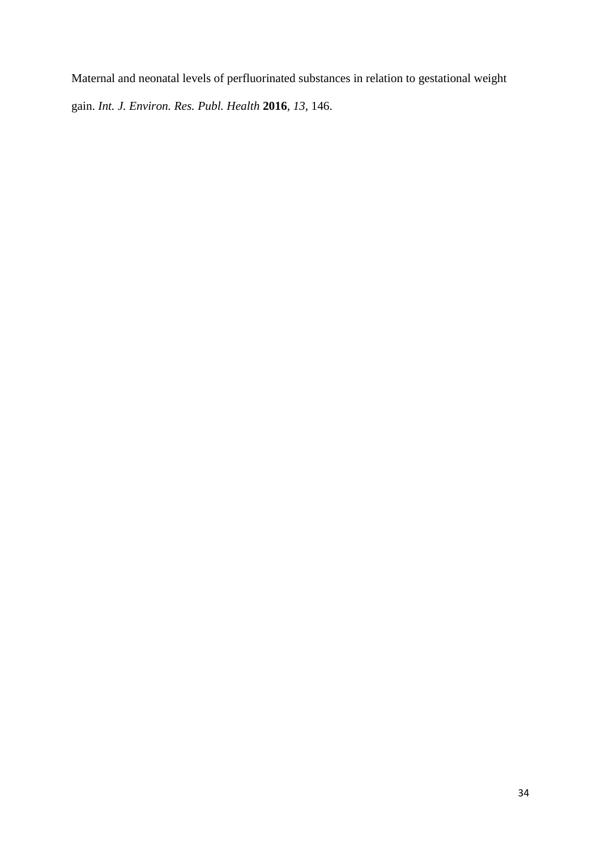Maternal and neonatal levels of perfluorinated substances in relation to gestational weight gain. *Int. J. Environ. Res. Publ. Health* **2016**, *13*, 146.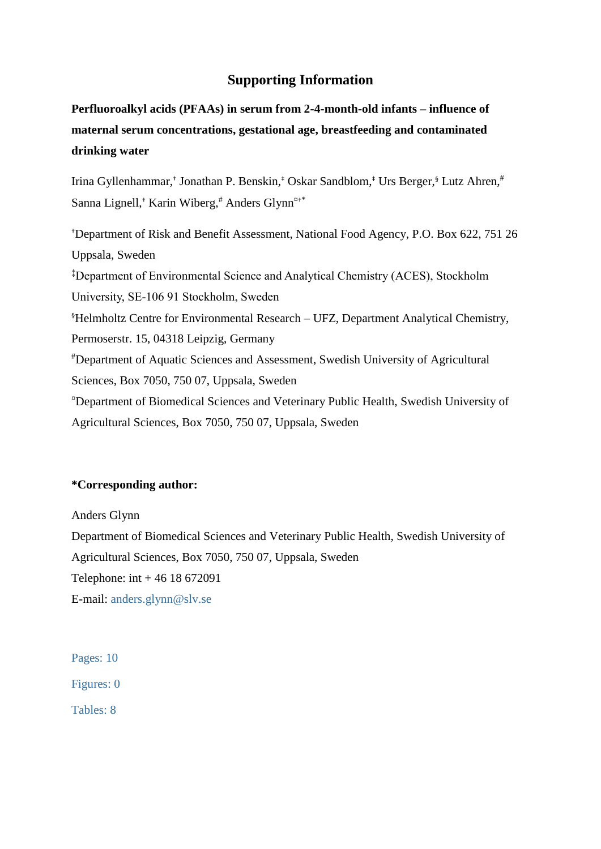# **Supporting Information**

**Perfluoroalkyl acids (PFAAs) in serum from 2-4-month-old infants – influence of maternal serum concentrations, gestational age, breastfeeding and contaminated drinking water**

Irina Gyllenhammar,<sup>†</sup> Jonathan P. Benskin,<sup>‡</sup> Oskar Sandblom,<sup>‡</sup> Urs Berger,<sup>§</sup> Lutz Ahren,<sup>#</sup> Sanna Lignell,<sup>†</sup> Karin Wiberg,<sup>#</sup> Anders Glynn $x$ <sup>+\*</sup>

†Department of Risk and Benefit Assessment, National Food Agency, P.O. Box 622, 751 26 Uppsala, Sweden ‡Department of Environmental Science and Analytical Chemistry (ACES), Stockholm University, SE-106 91 Stockholm, Sweden §Helmholtz Centre for Environmental Research – UFZ, Department Analytical Chemistry, Permoserstr. 15, 04318 Leipzig, Germany #Department of Aquatic Sciences and Assessment, Swedish University of Agricultural Sciences, Box 7050, 750 07, Uppsala, Sweden ¤Department of Biomedical Sciences and Veterinary Public Health, Swedish University of Agricultural Sciences, Box 7050, 750 07, Uppsala, Sweden

# **\*Corresponding author:**

Anders Glynn Department of Biomedical Sciences and Veterinary Public Health, Swedish University of Agricultural Sciences, Box 7050, 750 07, Uppsala, Sweden Telephone: int + 46 18 672091 E-mail: [anders.glynn@slv.se](mailto:anders.glynn@slv.se)

Pages: 10 Figures: 0 Tables: 8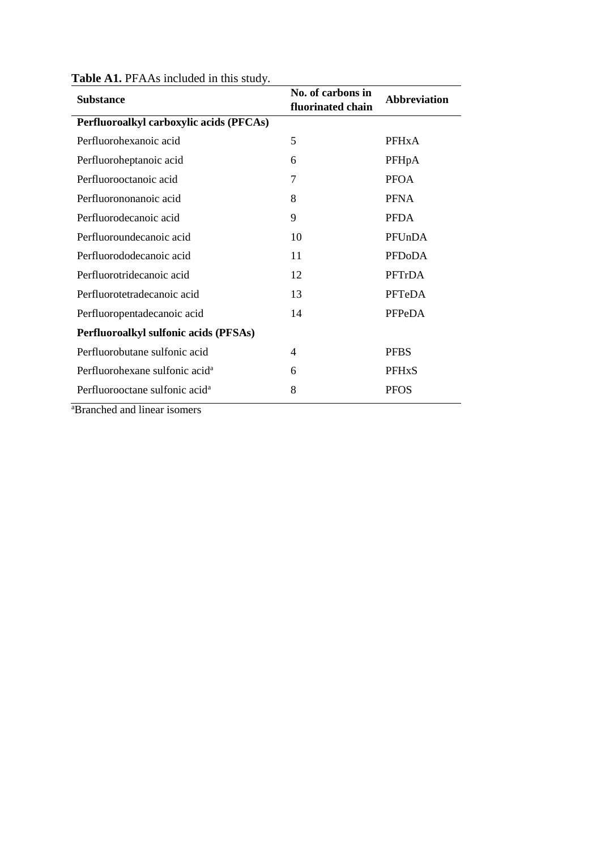| <b>Substance</b>                           | No. of carbons in<br>fluorinated chain | <b>Abbreviation</b> |
|--------------------------------------------|----------------------------------------|---------------------|
| Perfluoroalkyl carboxylic acids (PFCAs)    |                                        |                     |
| Perfluorohexanoic acid                     | 5                                      | <b>PFHxA</b>        |
| Perfluoroheptanoic acid                    | 6                                      | PFHpA               |
| Perfluorooctanoic acid                     | 7                                      | <b>PFOA</b>         |
| Perfluorononanoic acid                     | 8                                      | <b>PFNA</b>         |
| Perfluorodecanoic acid                     | 9                                      | <b>PFDA</b>         |
| Perfluoroundecanoic acid                   | 10                                     | PFUnDA              |
| Perfluorododecanoic acid                   | 11                                     | <b>PFDoDA</b>       |
| Perfluorotridecanoic acid                  | 12                                     | PFTrDA              |
| Perfluorotetradecanoic acid                | 13                                     | PFTeDA              |
| Perfluoropentadecanoic acid                | 14                                     | PFPeDA              |
| Perfluoroalkyl sulfonic acids (PFSAs)      |                                        |                     |
| Perfluorobutane sulfonic acid              | 4                                      | <b>PFBS</b>         |
| Perfluorohexane sulfonic acid <sup>a</sup> | 6                                      | <b>PFHxS</b>        |
| Perfluorooctane sulfonic acid <sup>a</sup> | 8                                      | <b>PFOS</b>         |

### Table A1. PFAAs included in this study.

aBranched and linear isomers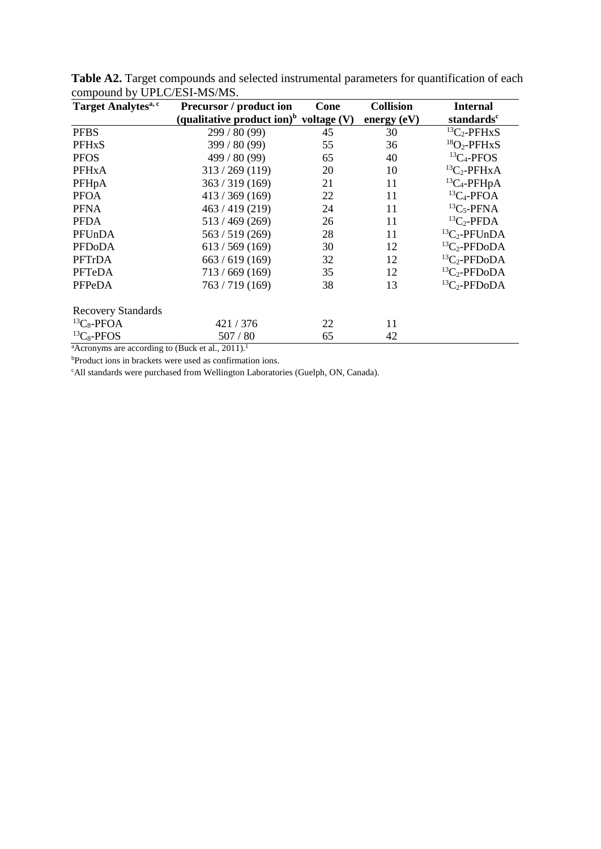| Target Analytes <sup>a, c</sup> | <b>Precursor</b> / product ion                       | Cone | <b>Collision</b> | <b>Internal</b>        |
|---------------------------------|------------------------------------------------------|------|------------------|------------------------|
|                                 | (qualitative product ion) <sup>b</sup> voltage $(V)$ |      | energy (eV)      | standards <sup>c</sup> |
| <b>PFBS</b>                     | 299/80(99)                                           | 45   | 30               | ${}^{13}C_2$ -PFHxS    |
| <b>PFHxS</b>                    | 399 / 80(99)                                         | 55   | 36               | ${}^{18}O_2$ -PFHxS    |
| <b>PFOS</b>                     | 499 / 80 (99)                                        | 65   | 40               | ${}^{13}C_4$ -PFOS     |
| <b>PFHxA</b>                    | 313 / 269 (119)                                      | 20   | 10               | ${}^{13}C_2$ -PFHxA    |
| PFHpA                           | 363 / 319(169)                                       | 21   | 11               | ${}^{13}C_4$ -PFHpA    |
| <b>PFOA</b>                     | 413 / 369 (169)                                      | 22   | 11               | ${}^{13}C_4$ -PFOA     |
| <b>PFNA</b>                     | 463 / 419(219)                                       | 24   | 11               | ${}^{13}C_5$ -PFNA     |
| <b>PFDA</b>                     | 513/469(269)                                         | 26   | 11               | ${}^{13}C_2$ -PFDA     |
| PFUnDA                          | 563 / 519(269)                                       | 28   | 11               | ${}^{13}C_2$ -PFUnDA   |
| <b>PFDoDA</b>                   | 613 / 569 (169)                                      | 30   | 12               | ${}^{13}C_2$ -PFDoDA   |
| PFTrDA                          | 663 / 619(169)                                       | 32   | 12               | ${}^{13}C_2$ -PFDoDA   |
| PFTeDA                          | 713/669(169)                                         | 35   | 12               | ${}^{13}C_2$ -PFDoDA   |
| PFPeDA                          | 763 / 719 (169)                                      | 38   | 13               | ${}^{13}C_2$ -PFDoDA   |
| <b>Recovery Standards</b>       |                                                      |      |                  |                        |
| ${}^{13}C_8$ -PFOA              | 421/376                                              | 22   | 11               |                        |
| ${}^{13}C_8$ -PFOS              | 507/80                                               | 65   | 42               |                        |

Table A2. Target compounds and selected instrumental parameters for quantification of each compound by UPLC/ESI-MS/MS.

 $^{\text{a}}$ Acronyms are according to [\(Buck et al., 2011\)](#page-30-0).<sup>1</sup>

<sup>b</sup>Product ions in brackets were used as confirmation ions.

cAll standards were purchased from Wellington Laboratories (Guelph, ON, Canada).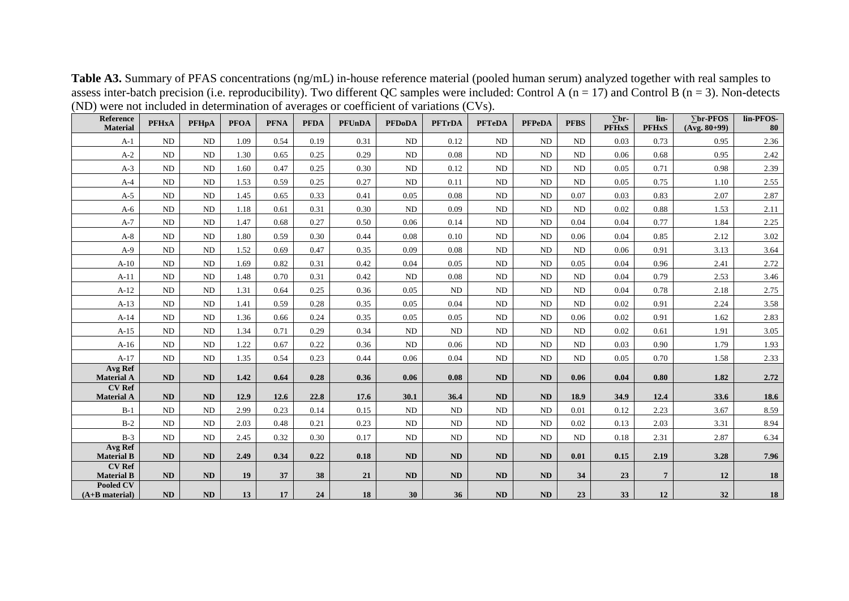| $11D$ ) were not increased in accommutation of averages of coefficient of variations (C $(8)$ ). |              |              |             |             |             |               |               |               |               |               |             |                              |                      |                                  |                 |
|--------------------------------------------------------------------------------------------------|--------------|--------------|-------------|-------------|-------------|---------------|---------------|---------------|---------------|---------------|-------------|------------------------------|----------------------|----------------------------------|-----------------|
| Reference<br><b>Material</b>                                                                     | <b>PFHxA</b> | <b>PFHpA</b> | <b>PFOA</b> | <b>PFNA</b> | <b>PFDA</b> | <b>PFUnDA</b> | <b>PFDoDA</b> | <b>PFTrDA</b> | <b>PFTeDA</b> | <b>PFPeDA</b> | <b>PFBS</b> | $\Sigma$ br-<br><b>PFHxS</b> | lin-<br><b>PFHxS</b> | $\sum$ br-PFOS<br>$(Avg. 80+99)$ | lin-PFOS-<br>80 |
| $A-1$                                                                                            | ND           | ND           | 1.09        | 0.54        | 0.19        | 0.31          | ND            | 0.12          | ND            | ND            | ND          | 0.03                         | 0.73                 | 0.95                             | 2.36            |
| $A-2$                                                                                            | ND           | ND           | 1.30        | 0.65        | 0.25        | 0.29          | <b>ND</b>     | 0.08          | ND            | ND            | ND          | 0.06                         | 0.68                 | 0.95                             | 2.42            |
| $A-3$                                                                                            | ND           | <b>ND</b>    | 1.60        | 0.47        | 0.25        | 0.30          | ND            | 0.12          | ND            | ND            | ND          | 0.05                         | 0.71                 | 0.98                             | 2.39            |
| $A-4$                                                                                            | ND           | ND           | 1.53        | 0.59        | 0.25        | 0.27          | ND            | 0.11          | ND            | ND            | ND          | 0.05                         | 0.75                 | 1.10                             | 2.55            |
| $A-5$                                                                                            | ND           | ND           | 1.45        | 0.65        | 0.33        | 0.41          | 0.05          | 0.08          | ND            | <b>ND</b>     | 0.07        | 0.03                         | 0.83                 | 2.07                             | 2.87            |
| $A-6$                                                                                            | ND           | ND           | 1.18        | 0.61        | 0.31        | 0.30          | ND            | 0.09          | ND            | ND            | ND          | 0.02                         | 0.88                 | 1.53                             | 2.11            |
| $A-7$                                                                                            | ND           | ND           | 1.47        | 0.68        | 0.27        | 0.50          | 0.06          | 0.14          | ND            | ND            | 0.04        | 0.04                         | 0.77                 | 1.84                             | 2.25            |
| $A-8$                                                                                            | ND           | ND           | 1.80        | 0.59        | 0.30        | 0.44          | 0.08          | 0.10          | ND            | ND            | 0.06        | 0.04                         | 0.85                 | 2.12                             | 3.02            |
| $A-9$                                                                                            | $\rm ND$     | ND           | 1.52        | 0.69        | 0.47        | 0.35          | 0.09          | 0.08          | ND            | ND            | ND          | 0.06                         | 0.91                 | 3.13                             | 3.64            |
| $A-10$                                                                                           | ND           | <b>ND</b>    | 1.69        | 0.82        | 0.31        | 0.42          | 0.04          | 0.05          | ND            | ND            | 0.05        | 0.04                         | 0.96                 | 2.41                             | 2.72            |
| $A-11$                                                                                           | ND           | ND           | 1.48        | 0.70        | 0.31        | 0.42          | ND            | 0.08          | ND            | ND            | ND          | 0.04                         | 0.79                 | 2.53                             | 3.46            |
| $A-12$                                                                                           | ND           | ND           | 1.31        | 0.64        | 0.25        | 0.36          | 0.05          | ND            | ND            | ND            | ND          | 0.04                         | 0.78                 | 2.18                             | 2.75            |
| $A-13$                                                                                           | ND           | ND           | 1.41        | 0.59        | 0.28        | 0.35          | 0.05          | 0.04          | ND            | ND            | ND          | 0.02                         | 0.91                 | 2.24                             | 3.58            |
| $A-14$                                                                                           | ND           | ND           | 1.36        | 0.66        | 0.24        | 0.35          | 0.05          | 0.05          | ND.           | ND            | 0.06        | 0.02                         | 0.91                 | 1.62                             | 2.83            |
| $A-15$                                                                                           | ND           | <b>ND</b>    | 1.34        | 0.71        | 0.29        | 0.34          | ND            | ND            | ND            | ND            | ND          | 0.02                         | 0.61                 | 1.91                             | 3.05            |
| $A-16$                                                                                           | ND           | ND           | 1.22        | 0.67        | 0.22        | 0.36          | ND            | 0.06          | ND            | ND            | ND          | 0.03                         | 0.90                 | 1.79                             | 1.93            |
| $A-17$                                                                                           | ND           | ND           | 1.35        | 0.54        | 0.23        | 0.44          | 0.06          | 0.04          | ND            | ND            | ND          | 0.05                         | 0.70                 | 1.58                             | 2.33            |
| Avg Ref<br><b>Material A</b>                                                                     | ND           | ND           | 1.42        | 0.64        | 0.28        | 0.36          | 0.06          | 0.08          | ND            | ND            | 0.06        | 0.04                         | 0.80                 | 1.82                             | 2.72            |
| <b>CV Ref</b><br><b>Material A</b>                                                               | <b>ND</b>    | ND           | 12.9        | 12.6        | 22.8        | 17.6          | 30.1          | 36.4          | <b>ND</b>     | <b>ND</b>     | 18.9        | 34.9                         | 12.4                 | 33.6                             | 18.6            |
| $B-1$                                                                                            | ND           | ND           | 2.99        | 0.23        | 0.14        | 0.15          | <b>ND</b>     | ND            | ND            | ND            | 0.01        | 0.12                         | 2.23                 | 3.67                             | 8.59            |
| $B-2$                                                                                            | ND           | ND           | 2.03        | 0.48        | 0.21        | 0.23          | ND            | ND            | ND            | ND            | 0.02        | 0.13                         | 2.03                 | 3.31                             | 8.94            |
| $B-3$                                                                                            | ND           | ND           | 2.45        | 0.32        | 0.30        | 0.17          | ND            | ND            | ND            | ND            | ND          | 0.18                         | 2.31                 | 2.87                             | 6.34            |
| <b>Avg Ref</b><br><b>Material B</b>                                                              | ND           | ND           | 2.49        | 0.34        | 0.22        | 0.18          | <b>ND</b>     | ND            | ND            | ND            | 0.01        | 0.15                         | 2.19                 | 3.28                             | 7.96            |
| <b>CV Ref</b><br><b>Material B</b>                                                               | <b>ND</b>    | ND           | 19          | 37          | 38          | 21            | <b>ND</b>     | ND            | <b>ND</b>     | <b>ND</b>     | 34          | 23                           | $\overline{7}$       | 12                               | 18              |
| Pooled CV<br>$(A+B$ material)                                                                    | ND           | ND           | 13          | 17          | 24          | 18            | 30            | 36            | <b>ND</b>     | ND            | 23          | 33                           | 12                   | 32                               | 18              |

**Table A3.** Summary of PFAS concentrations (ng/mL) in-house reference material (pooled human serum) analyzed together with real samples to assess inter-batch precision (i.e. reproducibility). Two different QC samples were included: Control A ( $n = 17$ ) and Control B ( $n = 3$ ). Non-detects (ND) were not included in determination of averages or coefficient of variations (CVs).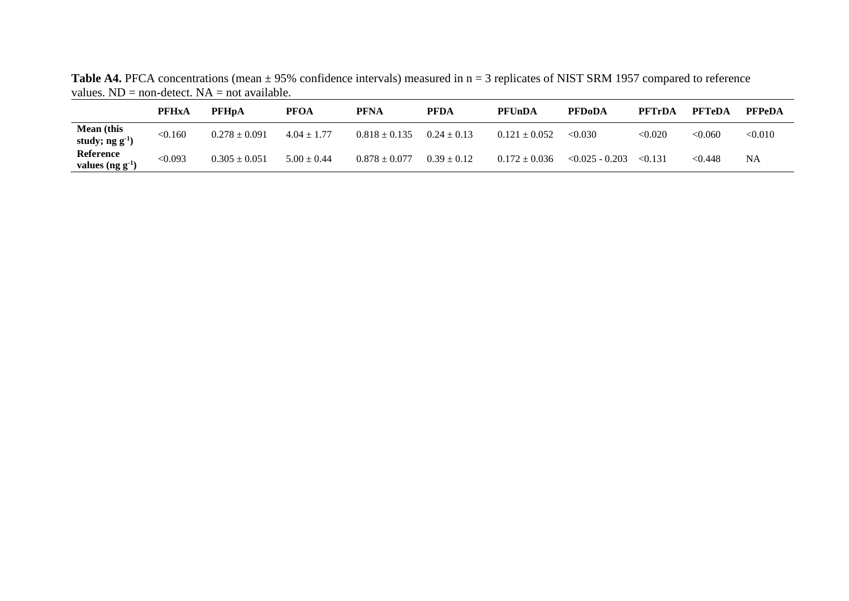Table A4. PFCA concentrations (mean  $\pm$  95% confidence intervals) measured in n = 3 replicates of NIST SRM 1957 compared to reference values.  $ND = non-detect. NA = not available.$ 

|                                               | <b>PFHxA</b> | <b>PFHpA</b>      | <b>PFOA</b>     | <b>PFNA</b>       | <b>PFDA</b>     | <b>PFUnDA</b>     | <b>PFDoDA</b>     | <b>PFTrDA</b> | <b>PFTeDA</b> | <b>PFPeDA</b> |
|-----------------------------------------------|--------------|-------------------|-----------------|-------------------|-----------------|-------------------|-------------------|---------------|---------------|---------------|
| <b>Mean</b> (this<br>study; ng g <sup>1</sup> | < 0.160      | $0.278 \pm 0.091$ | $4.04 \pm 1.77$ | $0.818 \pm 0.135$ | $0.24 \pm 0.13$ | $0.121 \pm 0.052$ | < 0.030           | < 0.020       | < 0.060       | < 0.010       |
| Reference<br>values $(ng g-1)$                | <0.093       | $0.305 \pm 0.051$ | $5.00 \pm 0.44$ | $0.878 \pm 0.077$ | $0.39 \pm 0.12$ | $0.172 \pm 0.036$ | $< 0.025 - 0.203$ | < 0.131       | < 0.448       | <b>NA</b>     |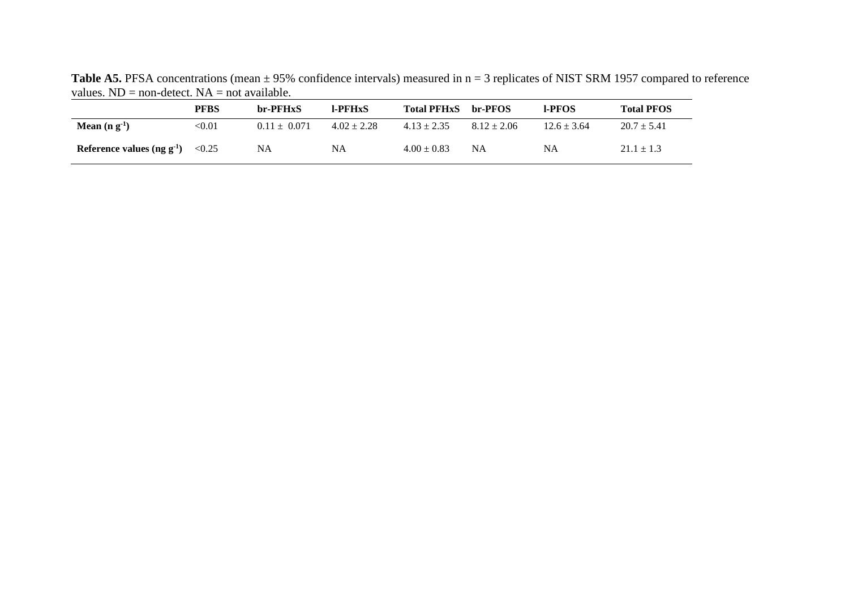| values. TYD $=$ HOII-GERCE, TY $\Delta =$ HOI available. |               |                  |                 |                    |                 |                 |                   |  |
|----------------------------------------------------------|---------------|------------------|-----------------|--------------------|-----------------|-----------------|-------------------|--|
|                                                          | <b>PFBS</b>   | br-PFHxS         | <b>I-PFHxS</b>  | <b>Total PFHxS</b> | br-PFOS         | <b>LPFOS</b>    | <b>Total PFOS</b> |  |
| Mean $(n g-1)$                                           | $< \!\! 0.01$ | $0.11 \pm 0.071$ | $4.02 \pm 2.28$ | $4.13 \pm 2.35$    | $8.12 \pm 2.06$ | $12.6 \pm 3.64$ | $20.7 \pm 5.41$   |  |
| Reference values $(ng g-1)$                              | < 0.25        | NA               | <b>NA</b>       | $4.00 \pm 0.83$    | <b>NA</b>       | NA              | $21.1 \pm 1.3$    |  |

Table A5. PFSA concentrations (mean  $\pm$  95% confidence intervals) measured in n = 3 replicates of NIST SRM 1957 compared to reference values.  $ND = non-detect$ .  $NA = not available$ .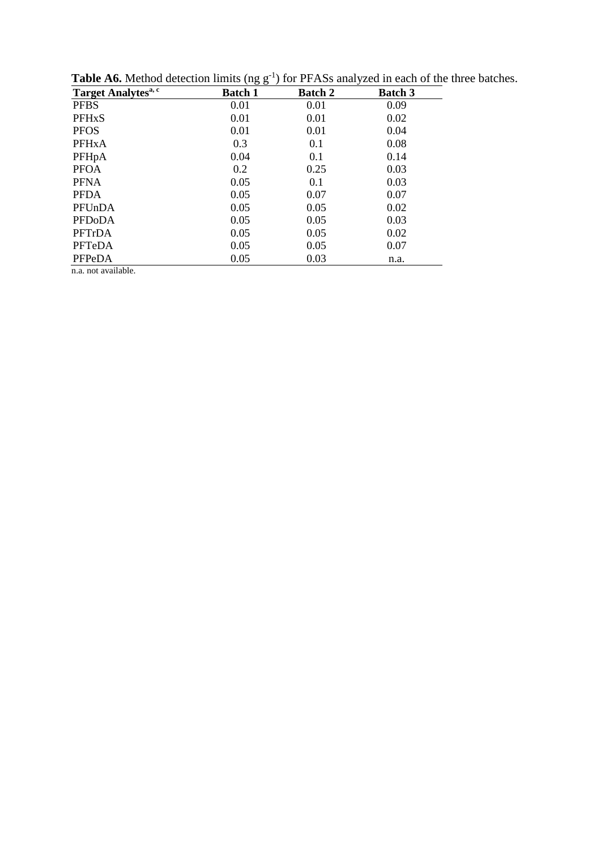| Target Analytes <sup>a, c</sup> | <b>Batch 1</b> | <b>Batch 2</b> | <b>Batch 3</b> |
|---------------------------------|----------------|----------------|----------------|
| <b>PFBS</b>                     | 0.01           | 0.01           | 0.09           |
| <b>PFHxS</b>                    | 0.01           | 0.01           | 0.02           |
| <b>PFOS</b>                     | 0.01           | 0.01           | 0.04           |
| <b>PFHxA</b>                    | 0.3            | 0.1            | 0.08           |
| PFHpA                           | 0.04           | 0.1            | 0.14           |
| <b>PFOA</b>                     | 0.2            | 0.25           | 0.03           |
| <b>PFNA</b>                     | 0.05           | 0.1            | 0.03           |
| <b>PFDA</b>                     | 0.05           | 0.07           | 0.07           |
| PFUnDA                          | 0.05           | 0.05           | 0.02           |
| <b>PFDoDA</b>                   | 0.05           | 0.05           | 0.03           |
| PFTrDA                          | 0.05           | 0.05           | 0.02           |
| PFTeDA                          | 0.05           | 0.05           | 0.07           |
| PFPeDA                          | 0.05           | 0.03           | n.a.           |
| .                               |                |                |                |

**Table A6.** Method detection limits (ng  $g^{-1}$ ) for PFASs analyzed in each of the three batches.

n.a. not available.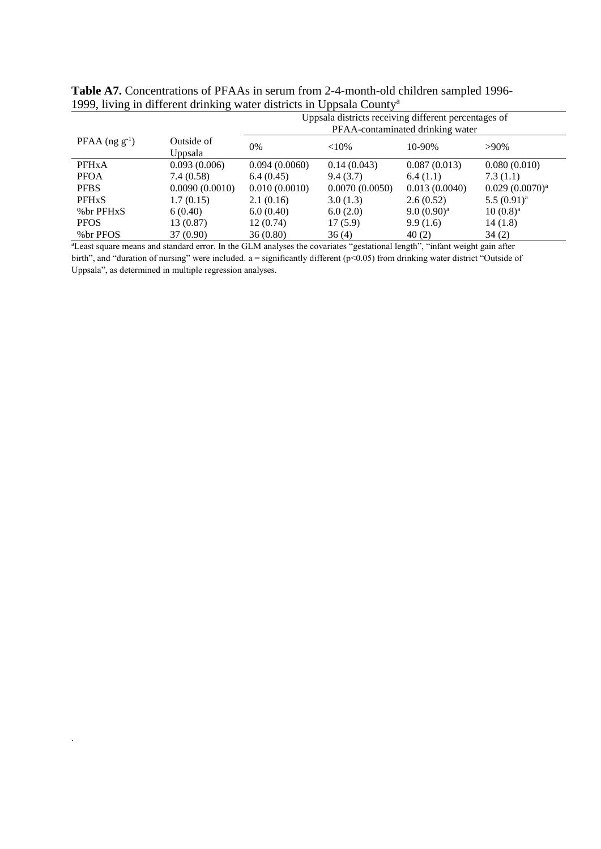|                         |                       | Uppsala districts receiving different percentages of<br>PFAA-contaminated drinking water |                |                        |                     |  |  |  |
|-------------------------|-----------------------|------------------------------------------------------------------------------------------|----------------|------------------------|---------------------|--|--|--|
| PFAA $(ng g^{-1})$      | Outside of<br>Uppsala | 0%                                                                                       | ${<}10%$       | 10-90%                 | $>90\%$             |  |  |  |
| <b>PFH<sub>x</sub>A</b> | 0.093(0.006)          | 0.094(0.0060)                                                                            | 0.14(0.043)    | 0.087(0.013)           | 0.080(0.010)        |  |  |  |
| <b>PFOA</b>             | 7.4(0.58)             | 6.4(0.45)                                                                                | 9.4(3.7)       | 6.4(1.1)               | 7.3(1.1)            |  |  |  |
| <b>PFBS</b>             | 0.0090(0.0010)        | 0.010(0.0010)                                                                            | 0.0070(0.0050) | 0.013(0.0040)          | $0.029(0.0070)^{a}$ |  |  |  |
| <b>PFH<sub>x</sub>S</b> | 1.7(0.15)             | 2.1(0.16)                                                                                | 3.0(1.3)       | 2.6(0.52)              | $5.5(0.91)^a$       |  |  |  |
| %br PFHxS               | 6(0.40)               | 6.0(0.40)                                                                                | 6.0(2.0)       | 9.0(0.90) <sup>a</sup> | $10(0.8)^a$         |  |  |  |
| <b>PFOS</b>             | 13 (0.87)             | 12(0.74)                                                                                 | 17(5.9)        | 9.9(1.6)               | 14(1.8)             |  |  |  |
| % br PFOS               | 37 (0.90)             | 36(0.80)                                                                                 | 36(4)          | 40(2)                  | 34(2)               |  |  |  |

**Table A7.** Concentrations of PFAAs in serum from 2-4-month-old children sampled 1996- 1999, living in different drinking water districts in Uppsala County a

<sup>a</sup>Least square means and standard error. In the GLM analyses the covariates "gestational length", "infant weight gain after birth", and "duration of nursing" were included. a = significantly different ( $p$ <0.05) from drinking water district "Outside of Uppsala", as determined in multiple regression analyses.

.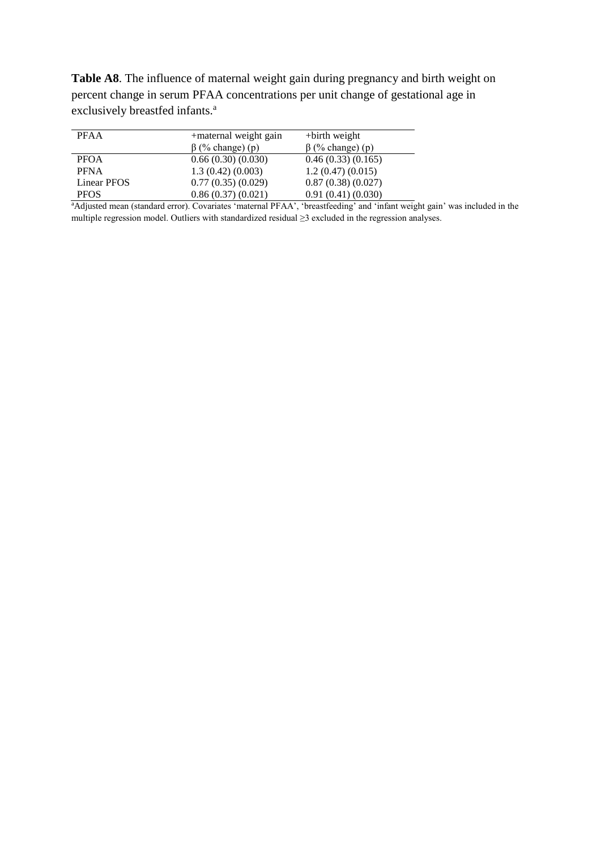**Table A8**. The influence of maternal weight gain during pregnancy and birth weight on percent change in serum PFAA concentrations per unit change of gestational age in exclusively breastfed infants.<sup>a</sup>

| <b>PFAA</b> | +maternal weight gain  | $+$ birth weight       |
|-------------|------------------------|------------------------|
|             | $\beta$ (% change) (p) | $\beta$ (% change) (p) |
| <b>PFOA</b> | 0.66(0.30)(0.030)      | 0.46(0.33)(0.165)      |
| <b>PFNA</b> | 1.3(0.42)(0.003)       | 1.2(0.47)(0.015)       |
| Linear PFOS | 0.77(0.35)(0.029)      | 0.87(0.38)(0.027)      |
| <b>PFOS</b> | 0.86(0.37)(0.021)      | 0.91(0.41)(0.030)      |

aAdjusted mean (standard error). Covariates 'maternal PFAA', 'breastfeeding' and 'infant weight gain' was included in the multiple regression model. Outliers with standardized residual ≥3 excluded in the regression analyses.